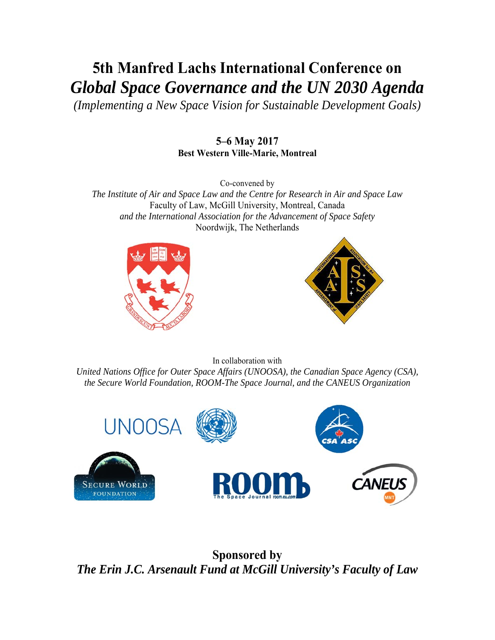# **5th Manfred Lachs International Conference on**  *Global Space Governance and the UN 2030 Agenda*

*(Implementing a New Space Vision for Sustainable Development Goals)* 

### **5–6 May 2017 Best Western Ville-Marie, Montreal**

Co-convened by

*The Institute of Air and Space Law and the Centre for Research in Air and Space Law*  Faculty of Law, McGill University, Montreal, Canada *and the International Association for the Advancement of Space Safety*  Noordwijk, The Netherlands





In collaboration with *United Nations Office for Outer Space Affairs (UNOOSA), the Canadian Space Agency (CSA), the Secure World Foundation, ROOM-The Space Journal, and the CANEUS Organization* 



**Sponsored by**  *The Erin J.C. Arsenault Fund at McGill University's Faculty of Law*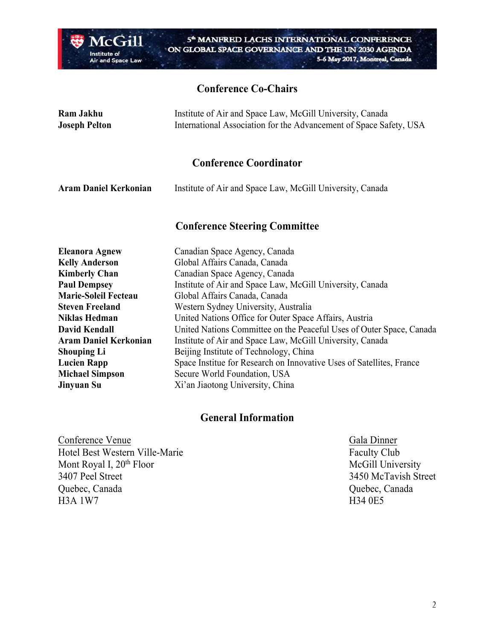

# **Conference Co-Chairs**

| Ram Jakhu            | Institute of Air and Space Law, McGill University, Canada          |
|----------------------|--------------------------------------------------------------------|
| <b>Joseph Pelton</b> | International Association for the Advancement of Space Safety, USA |
|                      |                                                                    |

# **Conference Coordinator**

| <b>Aram Daniel Kerkonian</b> | Institute of Air and Space Law, McGill University, Canada |
|------------------------------|-----------------------------------------------------------|
|------------------------------|-----------------------------------------------------------|

# **Conference Steering Committee**

| <b>Eleanora Agnew</b>        | Canadian Space Agency, Canada                                        |
|------------------------------|----------------------------------------------------------------------|
| <b>Kelly Anderson</b>        | Global Affairs Canada, Canada                                        |
| <b>Kimberly Chan</b>         | Canadian Space Agency, Canada                                        |
| <b>Paul Dempsey</b>          | Institute of Air and Space Law, McGill University, Canada            |
| <b>Marie-Soleil Fecteau</b>  | Global Affairs Canada, Canada                                        |
| <b>Steven Freeland</b>       | Western Sydney University, Australia                                 |
| <b>Niklas Hedman</b>         | United Nations Office for Outer Space Affairs, Austria               |
| <b>David Kendall</b>         | United Nations Committee on the Peaceful Uses of Outer Space, Canada |
| <b>Aram Daniel Kerkonian</b> | Institute of Air and Space Law, McGill University, Canada            |
| <b>Shouping Li</b>           | Beijing Institute of Technology, China                               |
| <b>Lucien Rapp</b>           | Space Institue for Research on Innovative Uses of Satellites, France |
| <b>Michael Simpson</b>       | Secure World Foundation, USA                                         |
| Jinyuan Su                   | Xi'an Jiaotong University, China                                     |

#### **General Information**

Conference Venue<br>
Hotel Best Western Ville-Marie<br>
Faculty Club Hotel Best Western Ville-Marie Mont Royal I, 20<sup>th</sup> Floor McGill University<br>3407 Peel Street 3407 Peel Street Quebec, Canada Quebec, Canada H3A 1W7 H34 0E5

3450 McTavish Street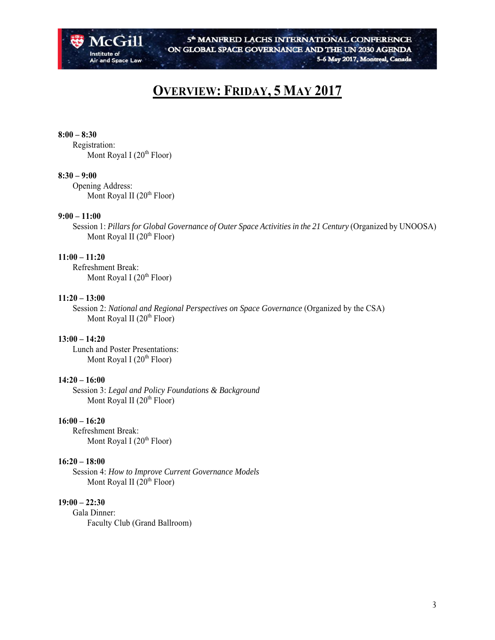

# **OVERVIEW: FRIDAY, 5 MAY 2017**

#### **8:00 – 8:30**

 Registration: Mont Royal I  $(20<sup>th</sup> Floor)$ 

#### **8:30 – 9:00**

 Opening Address: Mont Royal II  $(20<sup>th</sup> Floor)$ 

#### **9:00 – 11:00**

Session 1: Pillars for Global Governance of Outer Space Activities in the 21 Century (Organized by UNOOSA) Mont Royal II  $(20<sup>th</sup> Floor)$ 

#### **11:00 – 11:20**

 Refreshment Break: Mont Royal I  $(20<sup>th</sup>$  Floor)

#### **11:20 – 13:00**

 Session 2: *National and Regional Perspectives on Space Governance* (Organized by the CSA) Mont Royal II  $(20<sup>th</sup> Floor)$ 

#### **13:00 – 14:20**

 Lunch and Poster Presentations: Mont Royal I  $(20<sup>th</sup>$  Floor)

#### **14:20 – 16:00**

 Session 3: *Legal and Policy Foundations & Background* Mont Royal II  $(20<sup>th</sup> Floor)$ 

#### **16:00 – 16:20**

 Refreshment Break: Mont Royal I  $(20<sup>th</sup> Floor)$ 

#### **16:20 – 18:00**

 Session 4: *How to Improve Current Governance Models*  Mont Royal II  $(20<sup>th</sup>$  Floor)

#### **19:00 – 22:30**

 Gala Dinner: Faculty Club (Grand Ballroom)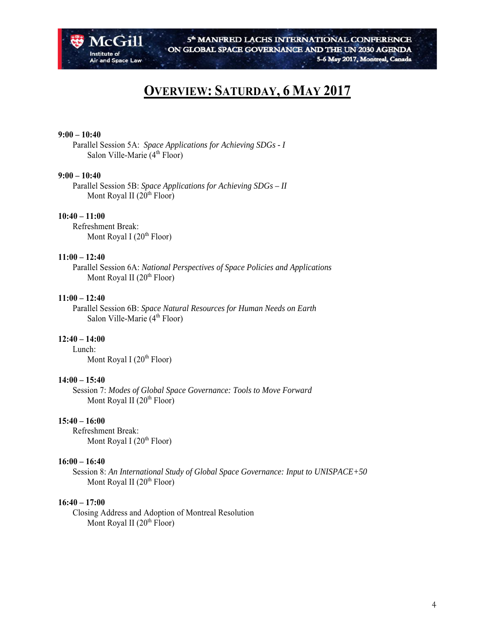

# **OVERVIEW: SATURDAY, 6 MAY 2017**

#### **9:00 – 10:40**

 Parallel Session 5A: *Space Applications for Achieving SDGs - I* Salon Ville-Marie  $(4<sup>th</sup> Floor)$ 

#### **9:00 – 10:40**

 Parallel Session 5B: *Space Applications for Achieving SDGs – II* Mont Royal II  $(20<sup>th</sup> Floor)$ 

#### **10:40 – 11:00**

 Refreshment Break: Mont Royal I  $(20<sup>th</sup> Floor)$ 

#### **11:00 – 12:40**

 Parallel Session 6A: *National Perspectives of Space Policies and Applications* Mont Royal II  $(20<sup>th</sup> Floor)$ 

#### **11:00 – 12:40**

 Parallel Session 6B: *Space Natural Resources for Human Needs on Earth* Salon Ville-Marie (4<sup>th</sup> Floor)

#### **12:40 – 14:00**

Lunch:

Mont Royal I  $(20<sup>th</sup>$  Floor)

#### **14:00 – 15:40**

 Session 7: *Modes of Global Space Governance: Tools to Move Forward* Mont Royal II  $(20<sup>th</sup> Floor)$ 

#### **15:40 – 16:00**

 Refreshment Break: Mont Royal I  $(20<sup>th</sup> Floor)$ 

#### **16:00 – 16:40**

 Session 8: *An International Study of Global Space Governance: Input to UNISPACE+50* Mont Royal II  $(20<sup>th</sup> Floor)$ 

#### **16:40 – 17:00**

 Closing Address and Adoption of Montreal Resolution Mont Royal II  $(20<sup>th</sup> Floor)$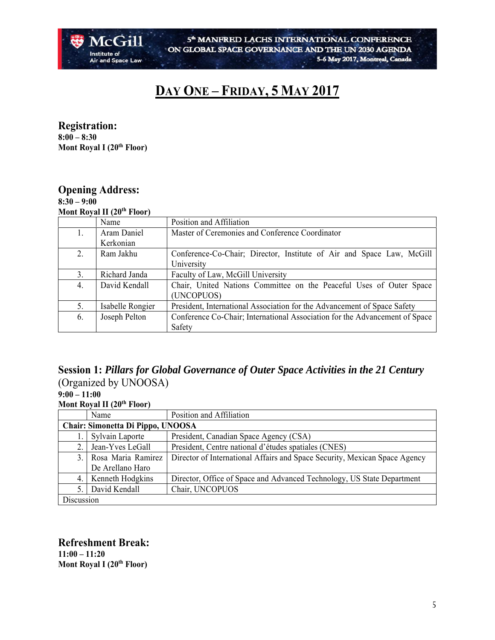

# **DAY ONE – FRIDAY, 5 MAY 2017**

**Registration: 8:00 – 8:30 Mont Royal I (20<sup>th</sup> Floor)** 

### **Opening Address:**

**8:30 – 9:00 Mont Royal II (20th Floor)** 

|    | $1110 \text{H}$ KV at $11 \text{V}$ T From |                                                                             |
|----|--------------------------------------------|-----------------------------------------------------------------------------|
|    | Name                                       | Position and Affiliation                                                    |
| 1. | Aram Daniel                                | Master of Ceremonies and Conference Coordinator                             |
|    | Kerkonian                                  |                                                                             |
| 2. | Ram Jakhu                                  | Conference-Co-Chair; Director, Institute of Air and Space Law, McGill       |
|    |                                            | University                                                                  |
| 3. | Richard Janda                              | Faculty of Law, McGill University                                           |
| 4. | David Kendall                              | Chair, United Nations Committee on the Peaceful Uses of Outer Space         |
|    |                                            | (UNCOPUOS)                                                                  |
| 5. | Isabelle Rongier                           | President, International Association for the Advancement of Space Safety    |
| 6. | Joseph Pelton                              | Conference Co-Chair; International Association for the Advancement of Space |
|    |                                            | Safety                                                                      |

## **Session 1:** *Pillars for Global Governance of Outer Space Activities in the 21 Century* (Organized by UNOOSA)

**9:00 – 11:00 Mont Royal II (20th Floor)** 

|                                   | $1110 \text{ m}$ and $141 \text{ m}$ |                                                                            |  |
|-----------------------------------|--------------------------------------|----------------------------------------------------------------------------|--|
|                                   | Name                                 | Position and Affiliation                                                   |  |
| Chair: Simonetta Di Pippo, UNOOSA |                                      |                                                                            |  |
|                                   | Sylvain Laporte                      | President, Canadian Space Agency (CSA)                                     |  |
| 2.                                | Jean-Yves LeGall                     | President, Centre national d'études spatiales (CNES)                       |  |
| 3.1                               | Rosa Maria Ramirez                   | Director of International Affairs and Space Security, Mexican Space Agency |  |
|                                   | De Arellano Haro                     |                                                                            |  |
|                                   | 4.   Kenneth Hodgkins                | Director, Office of Space and Advanced Technology, US State Department     |  |
| 5.                                | David Kendall                        | Chair, UNCOPUOS                                                            |  |
| Discussion                        |                                      |                                                                            |  |

#### **Refreshment Break: 11:00 – 11:20**

**Mont Royal I (20<sup>th</sup> Floor)**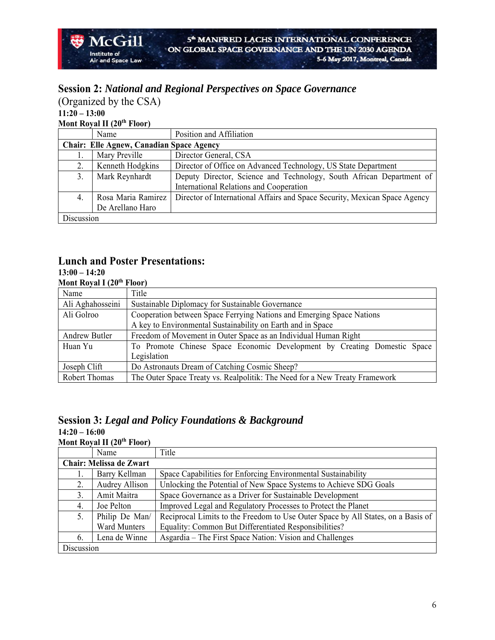# **Session 2:** *National and Regional Perspectives on Space Governance*

(Organized by the CSA) **11:20 – 13:00 Mont Royal II (20<sup>th</sup> Floor)** 

McGill

**Air and Space Law** 

**Institute of** 

|                                                 | Name               | Position and Affiliation                                                   |
|-------------------------------------------------|--------------------|----------------------------------------------------------------------------|
| <b>Chair: Elle Agnew, Canadian Space Agency</b> |                    |                                                                            |
|                                                 | Mary Preville      | Director General, CSA                                                      |
|                                                 | Kenneth Hodgkins   | Director of Office on Advanced Technology, US State Department             |
| 3.                                              | Mark Reynhardt     | Deputy Director, Science and Technology, South African Department of       |
|                                                 |                    | International Relations and Cooperation                                    |
| 4.                                              | Rosa Maria Ramirez | Director of International Affairs and Space Security, Mexican Space Agency |
|                                                 | De Arellano Haro   |                                                                            |
| Discussion                                      |                    |                                                                            |

### **Lunch and Poster Presentations:**

#### **13:00 – 14:20 Mont Royal I (20th Floor)**

| IVIUIIL INVAL I (40  | L'IOOL)                                                                     |
|----------------------|-----------------------------------------------------------------------------|
| Name                 | Title                                                                       |
| Ali Aghahosseini     | Sustainable Diplomacy for Sustainable Governance                            |
| Ali Golroo           | Cooperation between Space Ferrying Nations and Emerging Space Nations       |
|                      | A key to Environmental Sustainability on Earth and in Space                 |
| <b>Andrew Butler</b> | Freedom of Movement in Outer Space as an Individual Human Right             |
| Huan Yu              | To Promote Chinese Space Economic Development by Creating Domestic Space    |
|                      | Legislation                                                                 |
| Joseph Clift         | Do Astronauts Dream of Catching Cosmic Sheep?                               |
| Robert Thomas        | The Outer Space Treaty vs. Realpolitik: The Need for a New Treaty Framework |
|                      |                                                                             |

# **Session 3:** *Legal and Policy Foundations & Background*

**14:20 – 16:00 Mont Royal II (20<sup>th</sup> Floor)** 

|                                | Name                | Title                                                                            |
|--------------------------------|---------------------|----------------------------------------------------------------------------------|
| <b>Chair: Melissa de Zwart</b> |                     |                                                                                  |
| 1.                             | Barry Kellman       | Space Capabilities for Enforcing Environmental Sustainability                    |
| 2.                             | Audrey Allison      | Unlocking the Potential of New Space Systems to Achieve SDG Goals                |
| 3.                             | Amit Maitra         | Space Governance as a Driver for Sustainable Development                         |
| 4.                             | Joe Pelton          | Improved Legal and Regulatory Processes to Protect the Planet                    |
| 5.                             | Philip De Man/      | Reciprocal Limits to the Freedom to Use Outer Space by All States, on a Basis of |
|                                | <b>Ward Munters</b> | Equality: Common But Differentiated Responsibilities?                            |
| 6.                             | Lena de Winne       | Asgardia – The First Space Nation: Vision and Challenges                         |
| Discussion                     |                     |                                                                                  |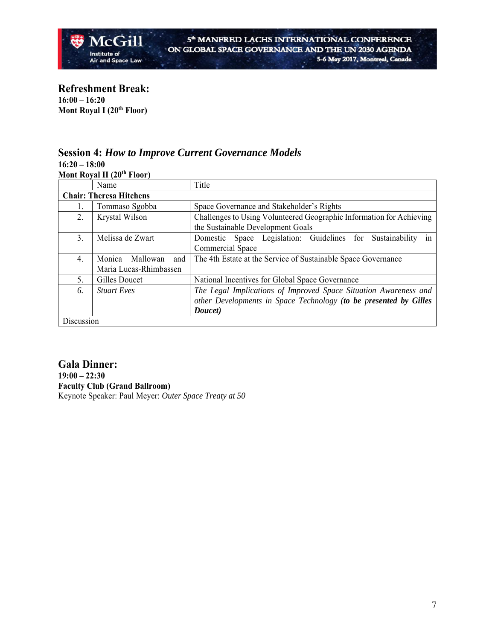

**Refreshment Break: 16:00 – 16:20 Mont Royal I (20<sup>th</sup> Floor)** 

#### **Session 4:** *How to Improve Current Governance Models*  **16:20 – 18:00**

**Mont Royal II (20th Floor)** 

|            | Name                           | Title                                                                |
|------------|--------------------------------|----------------------------------------------------------------------|
|            | <b>Chair: Theresa Hitchens</b> |                                                                      |
| 1.         | Tommaso Sgobba                 | Space Governance and Stakeholder's Rights                            |
| 2.         | Krystal Wilson                 | Challenges to Using Volunteered Geographic Information for Achieving |
|            |                                | the Sustainable Development Goals                                    |
| 3.         | Melissa de Zwart               | Domestic Space Legislation: Guidelines for Sustainability<br>in      |
|            |                                | Commercial Space                                                     |
| 4.         | Mallowan<br>Monica<br>and      | The 4th Estate at the Service of Sustainable Space Governance        |
|            | Maria Lucas-Rhimbassen         |                                                                      |
| 5.         | Gilles Doucet                  | National Incentives for Global Space Governance                      |
| 6.         | <b>Stuart Eves</b>             | The Legal Implications of Improved Space Situation Awareness and     |
|            |                                | other Developments in Space Technology (to be presented by Gilles    |
|            |                                | Doucet)                                                              |
| Discussion |                                |                                                                      |

**Gala Dinner: 19:00 – 22:30 Faculty Club (Grand Ballroom)**  Keynote Speaker: Paul Meyer: *Outer Space Treaty at 50*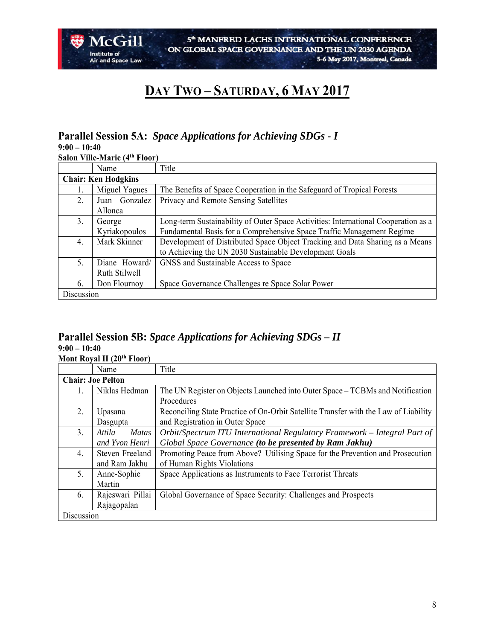

# **DAY TWO – SATURDAY, 6 MAY 2017**

# **Parallel Session 5A:** *Space Applications for Achieving SDGs - I*

**9:00 – 10:40** 

**Salon Ville-Marie (4th Floor)** 

|                            | Name          | Title                                                                              |
|----------------------------|---------------|------------------------------------------------------------------------------------|
| <b>Chair: Ken Hodgkins</b> |               |                                                                                    |
|                            | Miguel Yagues | The Benefits of Space Cooperation in the Safeguard of Tropical Forests             |
| 2.                         | Juan Gonzalez | Privacy and Remote Sensing Satellites                                              |
|                            | Allonca       |                                                                                    |
| 3.                         | George        | Long-term Sustainability of Outer Space Activities: International Cooperation as a |
|                            | Kyriakopoulos | Fundamental Basis for a Comprehensive Space Traffic Management Regime              |
| 4.                         | Mark Skinner  | Development of Distributed Space Object Tracking and Data Sharing as a Means       |
|                            |               | to Achieving the UN 2030 Sustainable Development Goals                             |
| 5.                         | Diane Howard/ | GNSS and Sustainable Access to Space                                               |
|                            | Ruth Stilwell |                                                                                    |
| 6.                         | Don Flournoy  | Space Governance Challenges re Space Solar Power                                   |
| Discussion                 |               |                                                                                    |

#### **Parallel Session 5B:** *Space Applications for Achieving SDGs – II* **9:00 – 10:40 Mont Royal II (20<sup>th</sup> Floor)**

|            | Name                     | Title                                                                               |
|------------|--------------------------|-------------------------------------------------------------------------------------|
|            | <b>Chair: Joe Pelton</b> |                                                                                     |
|            | Niklas Hedman            | The UN Register on Objects Launched into Outer Space – TCBMs and Notification       |
|            |                          | Procedures                                                                          |
| 2.         | Upasana                  | Reconciling State Practice of On-Orbit Satellite Transfer with the Law of Liability |
|            | Dasgupta                 | and Registration in Outer Space                                                     |
| 3.         | <i>Matas</i><br>Attila   | Orbit/Spectrum ITU International Regulatory Framework – Integral Part of            |
|            | and Yvon Henri           | Global Space Governance (to be presented by Ram Jakhu)                              |
| 4.         | Steven Freeland          | Promoting Peace from Above? Utilising Space for the Prevention and Prosecution      |
|            | and Ram Jakhu            | of Human Rights Violations                                                          |
| 5.         | Anne-Sophie              | Space Applications as Instruments to Face Terrorist Threats                         |
|            | Martin                   |                                                                                     |
| 6.         | Rajeswari Pillai         | Global Governance of Space Security: Challenges and Prospects                       |
|            | Rajagopalan              |                                                                                     |
| Discussion |                          |                                                                                     |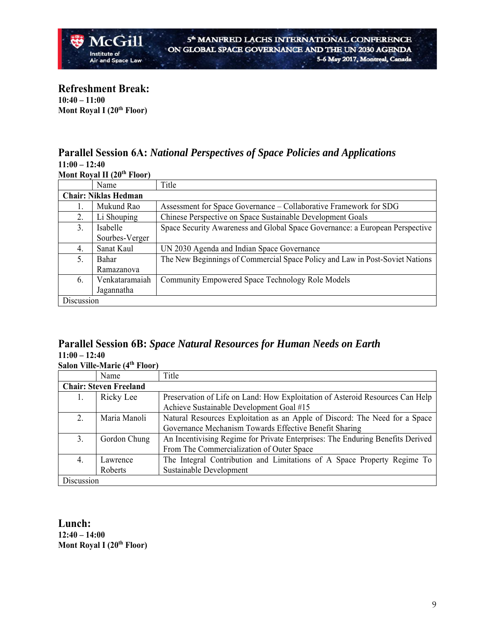**Refreshment Break: 10:40 – 11:00 Mont Royal I (20<sup>th</sup> Floor)** 

# **Parallel Session 6A:** *National Perspectives of Space Policies and Applications* **11:00 – 12:40**

**Mont Royal II (20th Floor)** 

|            | Name                        | Title                                                                        |
|------------|-----------------------------|------------------------------------------------------------------------------|
|            | <b>Chair: Niklas Hedman</b> |                                                                              |
|            | Mukund Rao                  | Assessment for Space Governance – Collaborative Framework for SDG            |
| 2.         | Li Shouping                 | Chinese Perspective on Space Sustainable Development Goals                   |
| 3.         | Isabelle                    | Space Security Awareness and Global Space Governance: a European Perspective |
|            | Sourbes-Verger              |                                                                              |
| 4.         | Sanat Kaul                  | UN 2030 Agenda and Indian Space Governance                                   |
| 5.         | Bahar                       | The New Beginnings of Commercial Space Policy and Law in Post-Soviet Nations |
|            | Ramazanova                  |                                                                              |
| 6.         | Venkataramaiah              | Community Empowered Space Technology Role Models                             |
|            | Jagannatha                  |                                                                              |
| Discussion |                             |                                                                              |

# **Parallel Session 6B:** *Space Natural Resources for Human Needs on Earth* **11:00 – 12:40 Salon Ville-Marie (4th Floor)**

|            | Name                          | Title                                                                          |
|------------|-------------------------------|--------------------------------------------------------------------------------|
|            | <b>Chair: Steven Freeland</b> |                                                                                |
|            | Ricky Lee                     | Preservation of Life on Land: How Exploitation of Asteroid Resources Can Help  |
|            |                               | Achieve Sustainable Development Goal #15                                       |
| 2.         | Maria Manoli                  | Natural Resources Exploitation as an Apple of Discord: The Need for a Space    |
|            |                               | Governance Mechanism Towards Effective Benefit Sharing                         |
| 3.         | Gordon Chung                  | An Incentivising Regime for Private Enterprises: The Enduring Benefits Derived |
|            |                               | From The Commercialization of Outer Space                                      |
| 4.         | Lawrence                      | The Integral Contribution and Limitations of A Space Property Regime To        |
|            | Roberts                       | Sustainable Development                                                        |
| Discussion |                               |                                                                                |

**Lunch: 12:40 – 14:00 Mont Royal I (20<sup>th</sup> Floor)**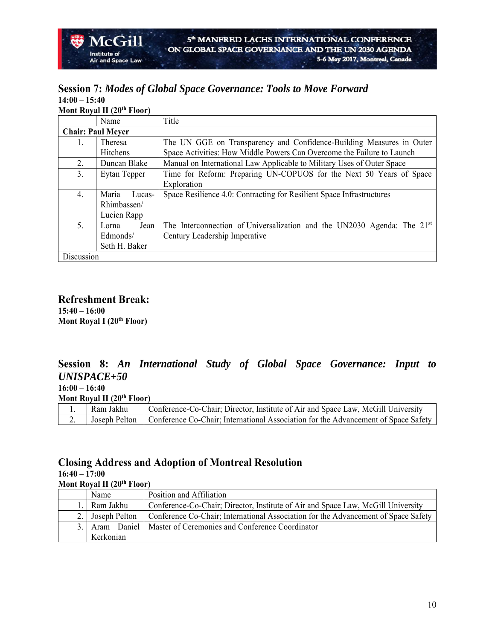#### **Session 7:** *Modes of Global Space Governance: Tools to Move Forward* **14:00 – 15:40 Mont Royal II (20th Floor)**

|            | Name                     | Title                                                                     |
|------------|--------------------------|---------------------------------------------------------------------------|
|            | <b>Chair: Paul Meyer</b> |                                                                           |
| 1.         | Theresa                  | The UN GGE on Transparency and Confidence-Building Measures in Outer      |
|            | Hitchens                 | Space Activities: How Middle Powers Can Overcome the Failure to Launch    |
| 2.         | Duncan Blake             | Manual on International Law Applicable to Military Uses of Outer Space    |
| 3.         | Eytan Tepper             | Time for Reform: Preparing UN-COPUOS for the Next 50 Years of Space       |
|            |                          | Exploration                                                               |
| 4.         | Maria<br>Lucas-          | Space Resilience 4.0: Contracting for Resilient Space Infrastructures     |
|            | Rhimbassen/              |                                                                           |
|            | Lucien Rapp              |                                                                           |
| 5.         | Jean<br>Lorna            | The Interconnection of Universalization and the UN2030 Agenda: The $21st$ |
|            | Edmonds/                 | Century Leadership Imperative                                             |
|            | Seth H. Baker            |                                                                           |
| Discussion |                          |                                                                           |

**Refreshment Break: 15:40 – 16:00 Mont Royal I (20<sup>th</sup> Floor)** 

McGill

and Space Law

Institute of

# **Session 8:** *An International Study of Global Space Governance: Input to UNISPACE+50*

**16:00 – 16:40** 

**Mont Royal II (20<sup>th</sup> Floor)** 

| Ram Jakhu | Conference-Co-Chair: Director, Institute of Air and Space Law, McGill University                   |
|-----------|----------------------------------------------------------------------------------------------------|
|           | Joseph Pelton   Conference Co-Chair: International Association for the Advancement of Space Safety |

### **Closing Address and Adoption of Montreal Resolution**

**16:40 – 17:00** 

**Mont Royal II (20th Floor)** 

|     | <b>Name</b>   | Position and Affiliation                                                           |
|-----|---------------|------------------------------------------------------------------------------------|
|     | Ram Jakhu     | Conference-Co-Chair; Director, Institute of Air and Space Law, McGill University   |
|     | Joseph Pelton | Conference Co-Chair; International Association for the Advancement of Space Safety |
| 3.1 |               | Aram Daniel   Master of Ceremonies and Conference Coordinator                      |
|     | Kerkonian     |                                                                                    |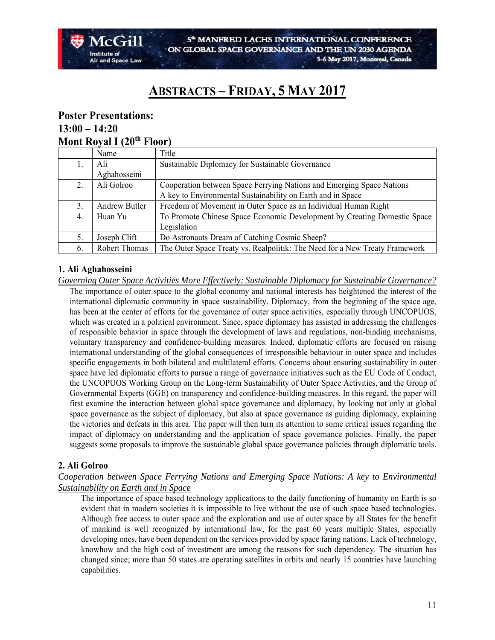# **ABSTRACTS – FRIDAY, 5 MAY 2017**

### **Poster Presentations: 13:00 – 14:20 Mont Royal I (20th Floor)**

|    | Name                 | Title                                                                       |
|----|----------------------|-----------------------------------------------------------------------------|
| ı. | Ali                  | Sustainable Diplomacy for Sustainable Governance                            |
|    | Aghahosseini         |                                                                             |
| 2. | Ali Golroo           | Cooperation between Space Ferrying Nations and Emerging Space Nations       |
|    |                      | A key to Environmental Sustainability on Earth and in Space                 |
| 3. | <b>Andrew Butler</b> | Freedom of Movement in Outer Space as an Individual Human Right             |
| 4. | Huan Yu              | To Promote Chinese Space Economic Development by Creating Domestic Space    |
|    |                      | Legislation                                                                 |
| 5. | Joseph Clift         | Do Astronauts Dream of Catching Cosmic Sheep?                               |
| 6. | Robert Thomas        | The Outer Space Treaty vs. Realpolitik: The Need for a New Treaty Framework |

#### **1. Ali Aghahosseini**

*Governing Outer Space Activities More Effectively: Sustainable Diplomacy for Sustainable Governance?*  The importance of outer space to the global economy and national interests has heightened the interest of the international diplomatic community in space sustainability. Diplomacy, from the beginning of the space age, has been at the center of efforts for the governance of outer space activities, especially through UNCOPUOS, which was created in a political environment. Since, space diplomacy has assisted in addressing the challenges of responsible behavior in space through the development of laws and regulations, non-binding mechanisms, voluntary transparency and confidence-building measures. Indeed, diplomatic efforts are focused on raising international understanding of the global consequences of irresponsible behaviour in outer space and includes specific engagements in both bilateral and multilateral efforts. Concerns about ensuring sustainability in outer space have led diplomatic efforts to pursue a range of governance initiatives such as the EU Code of Conduct, the UNCOPUOS Working Group on the Long-term Sustainability of Outer Space Activities, and the Group of Governmental Experts (GGE) on transparency and confidence-building measures. In this regard, the paper will first examine the interaction between global space governance and diplomacy, by looking not only at global space governance as the subject of diplomacy, but also at space governance as guiding diplomacy, explaining the victories and defeats in this area. The paper will then turn its attention to some critical issues regarding the impact of diplomacy on understanding and the application of space governance policies. Finally, the paper suggests some proposals to improve the sustainable global space governance policies through diplomatic tools.

#### **2. Ali Golroo**

#### *Cooperation between Space Ferrying Nations and Emerging Space Nations: A key to Environmental Sustainability on Earth and in Space*

The importance of space based technology applications to the daily functioning of humanity on Earth is so evident that in modern societies it is impossible to live without the use of such space based technologies. Although free access to outer space and the exploration and use of outer space by all States for the benefit of mankind is well recognized by international law, for the past 60 years multiple States, especially developing ones, have been dependent on the services provided by space faring nations. Lack of technology, knowhow and the high cost of investment are among the reasons for such dependency. The situation has changed since; more than 50 states are operating satellites in orbits and nearly 15 countries have launching capabilities.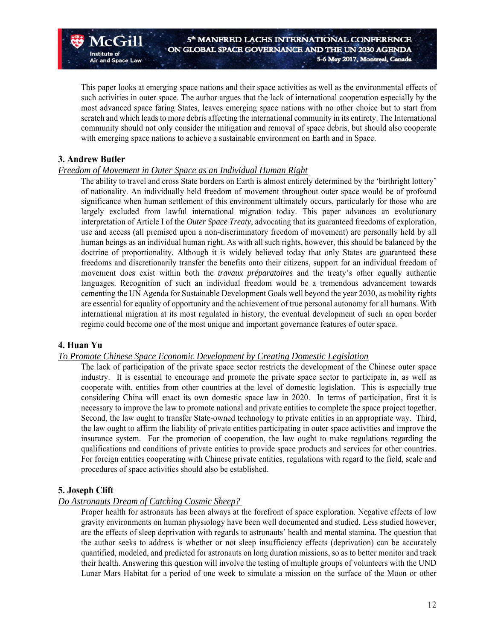This paper looks at emerging space nations and their space activities as well as the environmental effects of such activities in outer space. The author argues that the lack of international cooperation especially by the most advanced space faring States, leaves emerging space nations with no other choice but to start from scratch and which leads to more debris affecting the international community in its entirety. The International community should not only consider the mitigation and removal of space debris, but should also cooperate with emerging space nations to achieve a sustainable environment on Earth and in Space.

#### **3. Andrew Butler**

 $\sqrt{C(T)}$ 

**Air and Space Law** 

Institute of

#### *Freedom of Movement in Outer Space as an Individual Human Right*

The ability to travel and cross State borders on Earth is almost entirely determined by the 'birthright lottery' of nationality. An individually held freedom of movement throughout outer space would be of profound significance when human settlement of this environment ultimately occurs, particularly for those who are largely excluded from lawful international migration today. This paper advances an evolutionary interpretation of Article I of the *Outer Space Treaty*, advocating that its guaranteed freedoms of exploration, use and access (all premised upon a non-discriminatory freedom of movement) are personally held by all human beings as an individual human right. As with all such rights, however, this should be balanced by the doctrine of proportionality. Although it is widely believed today that only States are guaranteed these freedoms and discretionarily transfer the benefits onto their citizens, support for an individual freedom of movement does exist within both the *travaux préparatoires* and the treaty's other equally authentic languages. Recognition of such an individual freedom would be a tremendous advancement towards cementing the UN Agenda for Sustainable Development Goals well beyond the year 2030, as mobility rights are essential for equality of opportunity and the achievement of true personal autonomy for all humans. With international migration at its most regulated in history, the eventual development of such an open border regime could become one of the most unique and important governance features of outer space.

#### **4. Huan Yu**

#### *To Promote Chinese Space Economic Development by Creating Domestic Legislation*

The lack of participation of the private space sector restricts the development of the Chinese outer space industry. It is essential to encourage and promote the private space sector to participate in, as well as cooperate with, entities from other countries at the level of domestic legislation. This is especially true considering China will enact its own domestic space law in 2020. In terms of participation, first it is necessary to improve the law to promote national and private entities to complete the space project together. Second, the law ought to transfer State-owned technology to private entities in an appropriate way. Third, the law ought to affirm the liability of private entities participating in outer space activities and improve the insurance system. For the promotion of cooperation, the law ought to make regulations regarding the qualifications and conditions of private entities to provide space products and services for other countries. For foreign entities cooperating with Chinese private entities, regulations with regard to the field, scale and procedures of space activities should also be established.

#### **5. Joseph Clift**

#### *Do Astronauts Dream of Catching Cosmic Sheep?*

Proper health for astronauts has been always at the forefront of space exploration. Negative effects of low gravity environments on human physiology have been well documented and studied. Less studied however, are the effects of sleep deprivation with regards to astronauts' health and mental stamina. The question that the author seeks to address is whether or not sleep insufficiency effects (deprivation) can be accurately quantified, modeled, and predicted for astronauts on long duration missions, so as to better monitor and track their health. Answering this question will involve the testing of multiple groups of volunteers with the UND Lunar Mars Habitat for a period of one week to simulate a mission on the surface of the Moon or other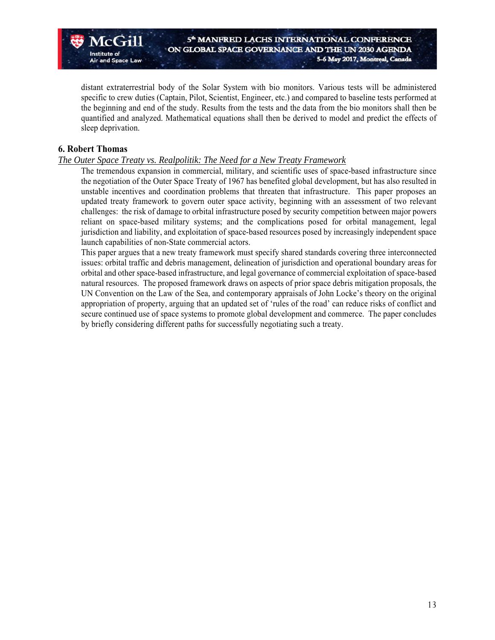distant extraterrestrial body of the Solar System with bio monitors. Various tests will be administered specific to crew duties (Captain, Pilot, Scientist, Engineer, etc.) and compared to baseline tests performed at the beginning and end of the study. Results from the tests and the data from the bio monitors shall then be quantified and analyzed. Mathematical equations shall then be derived to model and predict the effects of sleep deprivation.

#### **6. Robert Thomas**

Institute of

and Space Law

#### *The Outer Space Treaty vs. Realpolitik: The Need for a New Treaty Framework*

The tremendous expansion in commercial, military, and scientific uses of space-based infrastructure since the negotiation of the Outer Space Treaty of 1967 has benefited global development, but has also resulted in unstable incentives and coordination problems that threaten that infrastructure. This paper proposes an updated treaty framework to govern outer space activity, beginning with an assessment of two relevant challenges: the risk of damage to orbital infrastructure posed by security competition between major powers reliant on space-based military systems; and the complications posed for orbital management, legal jurisdiction and liability, and exploitation of space-based resources posed by increasingly independent space launch capabilities of non-State commercial actors.

This paper argues that a new treaty framework must specify shared standards covering three interconnected issues: orbital traffic and debris management, delineation of jurisdiction and operational boundary areas for orbital and other space-based infrastructure, and legal governance of commercial exploitation of space-based natural resources. The proposed framework draws on aspects of prior space debris mitigation proposals, the UN Convention on the Law of the Sea, and contemporary appraisals of John Locke's theory on the original appropriation of property, arguing that an updated set of 'rules of the road' can reduce risks of conflict and secure continued use of space systems to promote global development and commerce. The paper concludes by briefly considering different paths for successfully negotiating such a treaty.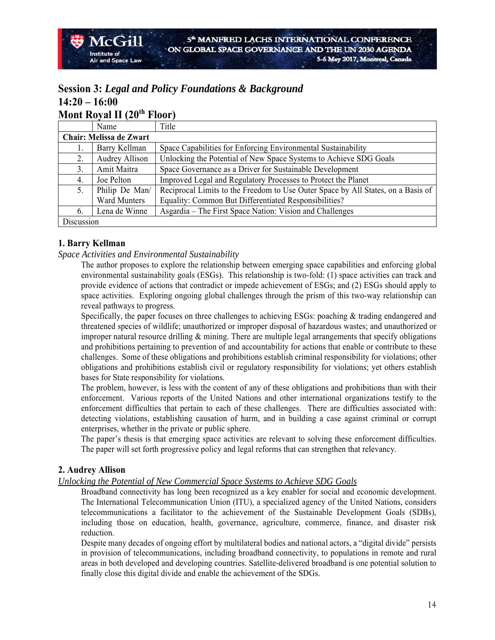### **Session 3:** *Legal and Policy Foundations & Background* **14:20 – 16:00 Mont Royal II (20th Floor)**

|            | $1.10 \text{ m}$ and $1.41 \text{ m}$ |                                                                                  |
|------------|---------------------------------------|----------------------------------------------------------------------------------|
|            | Name                                  | Title                                                                            |
|            | Chair: Melissa de Zwart               |                                                                                  |
| Ι.         | Barry Kellman                         | Space Capabilities for Enforcing Environmental Sustainability                    |
| 2.         | <b>Audrey Allison</b>                 | Unlocking the Potential of New Space Systems to Achieve SDG Goals                |
| 3.         | Amit Maitra                           | Space Governance as a Driver for Sustainable Development                         |
| 4.         | Joe Pelton                            | Improved Legal and Regulatory Processes to Protect the Planet                    |
| 5.         | Philip De Man/                        | Reciprocal Limits to the Freedom to Use Outer Space by All States, on a Basis of |
|            | <b>Ward Munters</b>                   | Equality: Common But Differentiated Responsibilities?                            |
| 6.         | Lena de Winne                         | Asgardia - The First Space Nation: Vision and Challenges                         |
| Discussion |                                       |                                                                                  |

#### **1. Barry Kellman**

 $Acc$   $ri$ 

#### *Space Activities and Environmental Sustainability*

The author proposes to explore the relationship between emerging space capabilities and enforcing global environmental sustainability goals (ESGs). This relationship is two-fold: (1) space activities can track and provide evidence of actions that contradict or impede achievement of ESGs; and (2) ESGs should apply to space activities. Exploring ongoing global challenges through the prism of this two-way relationship can reveal pathways to progress.

Specifically, the paper focuses on three challenges to achieving ESGs: poaching & trading endangered and threatened species of wildlife; unauthorized or improper disposal of hazardous wastes; and unauthorized or improper natural resource drilling  $\&$  mining. There are multiple legal arrangements that specify obligations and prohibitions pertaining to prevention of and accountability for actions that enable or contribute to these challenges. Some of these obligations and prohibitions establish criminal responsibility for violations; other obligations and prohibitions establish civil or regulatory responsibility for violations; yet others establish bases for State responsibility for violations.

The problem, however, is less with the content of any of these obligations and prohibitions than with their enforcement. Various reports of the United Nations and other international organizations testify to the enforcement difficulties that pertain to each of these challenges. There are difficulties associated with: detecting violations, establishing causation of harm, and in building a case against criminal or corrupt enterprises, whether in the private or public sphere.

The paper's thesis is that emerging space activities are relevant to solving these enforcement difficulties. The paper will set forth progressive policy and legal reforms that can strengthen that relevancy.

#### **2. Audrey Allison**

*Unlocking the Potential of New Commercial Space Systems to Achieve SDG Goals* 

Broadband connectivity has long been recognized as a key enabler for social and economic development. The International Telecommunication Union (ITU), a specialized agency of the United Nations, considers telecommunications a facilitator to the achievement of the Sustainable Development Goals (SDBs), including those on education, health, governance, agriculture, commerce, finance, and disaster risk reduction.

Despite many decades of ongoing effort by multilateral bodies and national actors, a "digital divide" persists in provision of telecommunications, including broadband connectivity, to populations in remote and rural areas in both developed and developing countries. Satellite-delivered broadband is one potential solution to finally close this digital divide and enable the achievement of the SDGs.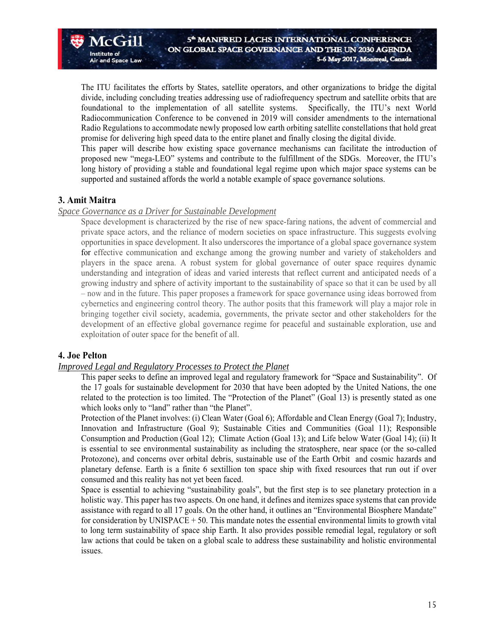The ITU facilitates the efforts by States, satellite operators, and other organizations to bridge the digital divide, including concluding treaties addressing use of radiofrequency spectrum and satellite orbits that are foundational to the implementation of all satellite systems. Specifically, the ITU's next World Radiocommunication Conference to be convened in 2019 will consider amendments to the international Radio Regulations to accommodate newly proposed low earth orbiting satellite constellations that hold great promise for delivering high speed data to the entire planet and finally closing the digital divide.

This paper will describe how existing space governance mechanisms can facilitate the introduction of proposed new "mega-LEO" systems and contribute to the fulfillment of the SDGs. Moreover, the ITU's long history of providing a stable and foundational legal regime upon which major space systems can be supported and sustained affords the world a notable example of space governance solutions.

#### **3. Amit Maitra**

 $Acc$   $ri$ 

and Space Law

Institute of

#### *Space Governance as a Driver for Sustainable Development*

Space development is characterized by the rise of new space-faring nations, the advent of commercial and private space actors, and the reliance of modern societies on space infrastructure. This suggests evolving opportunities in space development. It also underscores the importance of a global space governance system for effective communication and exchange among the growing number and variety of stakeholders and players in the space arena. A robust system for global governance of outer space requires dynamic understanding and integration of ideas and varied interests that reflect current and anticipated needs of a growing industry and sphere of activity important to the sustainability of space so that it can be used by all – now and in the future. This paper proposes a framework for space governance using ideas borrowed from cybernetics and engineering control theory. The author posits that this framework will play a major role in bringing together civil society, academia, governments, the private sector and other stakeholders for the development of an effective global governance regime for peaceful and sustainable exploration, use and exploitation of outer space for the benefit of all.

#### **4. Joe Pelton**

#### *Improved Legal and Regulatory Processes to Protect the Planet*

This paper seeks to define an improved legal and regulatory framework for "Space and Sustainability".Of the 17 goals for sustainable development for 2030 that have been adopted by the United Nations, the one related to the protection is too limited. The "Protection of the Planet" (Goal 13) is presently stated as one which looks only to "land" rather than "the Planet".

Protection of the Planet involves: (i) Clean Water (Goal 6); Affordable and Clean Energy (Goal 7); Industry, Innovation and Infrastructure (Goal 9); Sustainable Cities and Communities (Goal 11); Responsible Consumption and Production (Goal 12); Climate Action (Goal 13); and Life below Water (Goal 14); (ii) It is essential to see environmental sustainability as including the stratosphere, near space (or the so-called Protozone), and concerns over orbital debris, sustainable use of the Earth Orbit and cosmic hazards and planetary defense. Earth is a finite 6 sextillion ton space ship with fixed resources that run out if over consumed and this reality has not yet been faced.

Space is essential to achieving "sustainability goals", but the first step is to see planetary protection in a holistic way. This paper has two aspects. On one hand, it defines and itemizes space systems that can provide assistance with regard to all 17 goals. On the other hand, it outlines an "Environmental Biosphere Mandate" for consideration by UNISPACE  $+ 50$ . This mandate notes the essential environmental limits to growth vital to long term sustainability of space ship Earth. It also provides possible remedial legal, regulatory or soft law actions that could be taken on a global scale to address these sustainability and holistic environmental issues.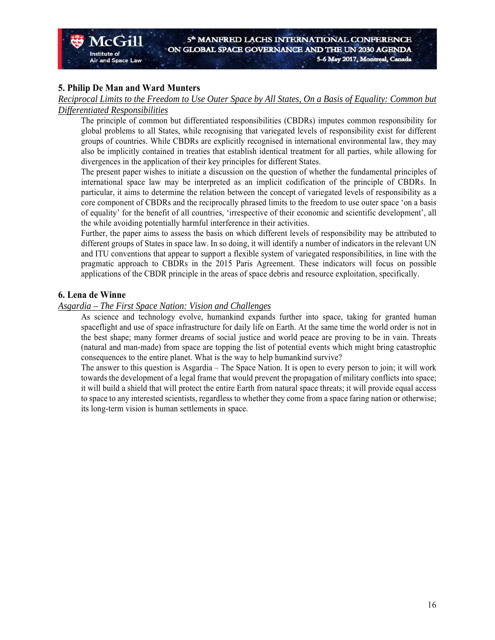#### **5. Philip De Man and Ward Munters**

and Space Law

Institute of

*Reciprocal Limits to the Freedom to Use Outer Space by All States, On a Basis of Equality: Common but Differentiated Responsibilities* 

The principle of common but differentiated responsibilities (CBDRs) imputes common responsibility for global problems to all States, while recognising that variegated levels of responsibility exist for different groups of countries. While CBDRs are explicitly recognised in international environmental law, they may also be implicitly contained in treaties that establish identical treatment for all parties, while allowing for divergences in the application of their key principles for different States.

The present paper wishes to initiate a discussion on the question of whether the fundamental principles of international space law may be interpreted as an implicit codification of the principle of CBDRs. In particular, it aims to determine the relation between the concept of variegated levels of responsibility as a core component of CBDRs and the reciprocally phrased limits to the freedom to use outer space 'on a basis of equality' for the benefit of all countries, 'irrespective of their economic and scientific development', all the while avoiding potentially harmful interference in their activities.

Further, the paper aims to assess the basis on which different levels of responsibility may be attributed to different groups of States in space law. In so doing, it will identify a number of indicators in the relevant UN and ITU conventions that appear to support a flexible system of variegated responsibilities, in line with the pragmatic approach to CBDRs in the 2015 Paris Agreement. These indicators will focus on possible applications of the CBDR principle in the areas of space debris and resource exploitation, specifically.

#### **6. Lena de Winne**

#### *Asgardia – The First Space Nation: Vision and Challenges*

As science and technology evolve, humankind expands further into space, taking for granted human spaceflight and use of space infrastructure for daily life on Earth. At the same time the world order is not in the best shape; many former dreams of social justice and world peace are proving to be in vain. Threats (natural and man-made) from space are topping the list of potential events which might bring catastrophic consequences to the entire planet. What is the way to help humankind survive?

The answer to this question is Asgardia – The Space Nation. It is open to every person to join; it will work towards the development of a legal frame that would prevent the propagation of military conflicts into space; it will build a shield that will protect the entire Earth from natural space threats; it will provide equal access to space to any interested scientists, regardless to whether they come from a space faring nation or otherwise; its long-term vision is human settlements in space.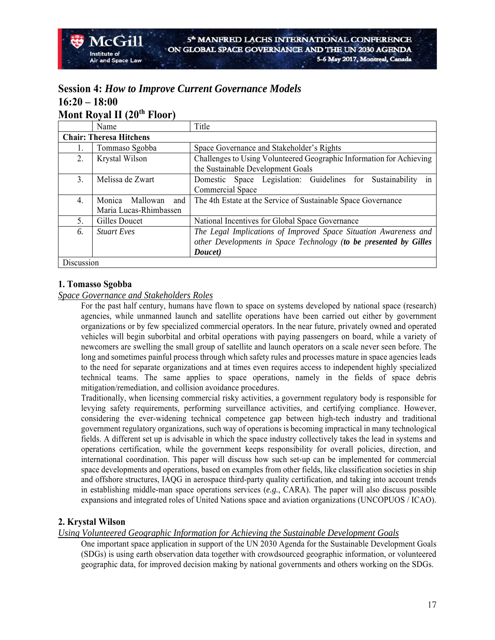## **Session 4:** *How to Improve Current Governance Models*  **16:20 – 18:00 Mont Royal II (20th Floor)**

|            | Name                           | Title                                                                |
|------------|--------------------------------|----------------------------------------------------------------------|
|            | <b>Chair: Theresa Hitchens</b> |                                                                      |
| 1.         | Tommaso Sgobba                 | Space Governance and Stakeholder's Rights                            |
| 2.         | Krystal Wilson                 | Challenges to Using Volunteered Geographic Information for Achieving |
|            |                                | the Sustainable Development Goals                                    |
| 3.         | Melissa de Zwart               | Domestic Space Legislation: Guidelines for Sustainability<br>in      |
|            |                                | Commercial Space                                                     |
| 4.         | Monica<br>Mallowan<br>and      | The 4th Estate at the Service of Sustainable Space Governance        |
|            | Maria Lucas-Rhimbassen         |                                                                      |
| 5.         | Gilles Doucet                  | National Incentives for Global Space Governance                      |
| 6.         | <b>Stuart Eves</b>             | The Legal Implications of Improved Space Situation Awareness and     |
|            |                                | other Developments in Space Technology (to be presented by Gilles    |
|            |                                | Doucet)                                                              |
| Discussion |                                |                                                                      |

### **1. Tomasso Sgobba**

#### *Space Governance and Stakeholders Roles*

For the past half century, humans have flown to space on systems developed by national space (research) agencies, while unmanned launch and satellite operations have been carried out either by government organizations or by few specialized commercial operators. In the near future, privately owned and operated vehicles will begin suborbital and orbital operations with paying passengers on board, while a variety of newcomers are swelling the small group of satellite and launch operators on a scale never seen before. The long and sometimes painful process through which safety rules and processes mature in space agencies leads to the need for separate organizations and at times even requires access to independent highly specialized technical teams. The same applies to space operations, namely in the fields of space debris mitigation/remediation, and collision avoidance procedures.

Traditionally, when licensing commercial risky activities, a government regulatory body is responsible for levying safety requirements, performing surveillance activities, and certifying compliance. However, considering the ever-widening technical competence gap between high-tech industry and traditional government regulatory organizations, such way of operations is becoming impractical in many technological fields. A different set up is advisable in which the space industry collectively takes the lead in systems and operations certification, while the government keeps responsibility for overall policies, direction, and international coordination. This paper will discuss how such set-up can be implemented for commercial space developments and operations, based on examples from other fields, like classification societies in ship and offshore structures, IAQG in aerospace third-party quality certification, and taking into account trends in establishing middle-man space operations services (*e.g.*, CARA). The paper will also discuss possible expansions and integrated roles of United Nations space and aviation organizations (UNCOPUOS / ICAO).

#### **2. Krystal Wilson**

#### *Using Volunteered Geographic Information for Achieving the Sustainable Development Goals*

One important space application in support of the UN 2030 Agenda for the Sustainable Development Goals (SDGs) is using earth observation data together with crowdsourced geographic information, or volunteered geographic data, for improved decision making by national governments and others working on the SDGs.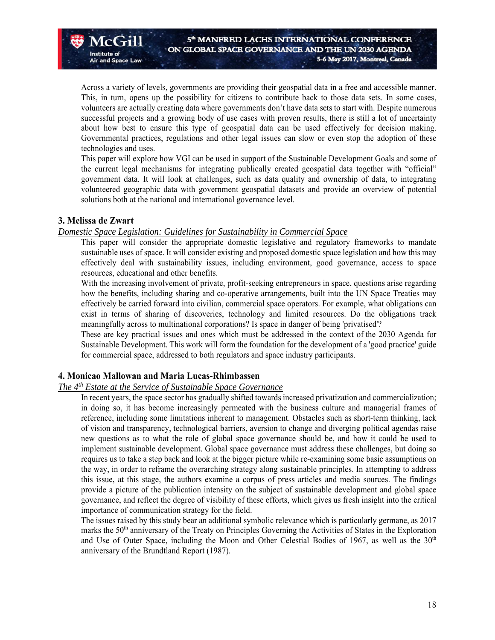Across a variety of levels, governments are providing their geospatial data in a free and accessible manner. This, in turn, opens up the possibility for citizens to contribute back to those data sets. In some cases, volunteers are actually creating data where governments don't have data sets to start with. Despite numerous successful projects and a growing body of use cases with proven results, there is still a lot of uncertainty about how best to ensure this type of geospatial data can be used effectively for decision making. Governmental practices, regulations and other legal issues can slow or even stop the adoption of these technologies and uses.

This paper will explore how VGI can be used in support of the Sustainable Development Goals and some of the current legal mechanisms for integrating publically created geospatial data together with "official" government data. It will look at challenges, such as data quality and ownership of data, to integrating volunteered geographic data with government geospatial datasets and provide an overview of potential solutions both at the national and international governance level.

#### **3. Melissa de Zwart**

Institute of

#### *Domestic Space Legislation: Guidelines for Sustainability in Commercial Space*

This paper will consider the appropriate domestic legislative and regulatory frameworks to mandate sustainable uses of space. It will consider existing and proposed domestic space legislation and how this may effectively deal with sustainability issues, including environment, good governance, access to space resources, educational and other benefits.

With the increasing involvement of private, profit-seeking entrepreneurs in space, questions arise regarding how the benefits, including sharing and co-operative arrangements, built into the UN Space Treaties may effectively be carried forward into civilian, commercial space operators. For example, what obligations can exist in terms of sharing of discoveries, technology and limited resources. Do the obligations track meaningfully across to multinational corporations? Is space in danger of being 'privatised'?

These are key practical issues and ones which must be addressed in the context of the 2030 Agenda for Sustainable Development. This work will form the foundation for the development of a 'good practice' guide for commercial space, addressed to both regulators and space industry participants.

#### **4. Monicao Mallowan and Maria Lucas-Rhimbassen**

#### *The 4th Estate at the Service of Sustainable Space Governance*

In recent years, the space sector has gradually shifted towards increased privatization and commercialization; in doing so, it has become increasingly permeated with the business culture and managerial frames of reference, including some limitations inherent to management. Obstacles such as short-term thinking, lack of vision and transparency, technological barriers, aversion to change and diverging political agendas raise new questions as to what the role of global space governance should be, and how it could be used to implement sustainable development. Global space governance must address these challenges, but doing so requires us to take a step back and look at the bigger picture while re-examining some basic assumptions on the way, in order to reframe the overarching strategy along sustainable principles. In attempting to address this issue, at this stage, the authors examine a corpus of press articles and media sources. The findings provide a picture of the publication intensity on the subject of sustainable development and global space governance, and reflect the degree of visibility of these efforts, which gives us fresh insight into the critical importance of communication strategy for the field.

The issues raised by this study bear an additional symbolic relevance which is particularly germane, as 2017 marks the 50<sup>th</sup> anniversary of the Treaty on Principles Governing the Activities of States in the Exploration and Use of Outer Space, including the Moon and Other Celestial Bodies of 1967, as well as the  $30<sup>th</sup>$ anniversary of the Brundtland Report (1987).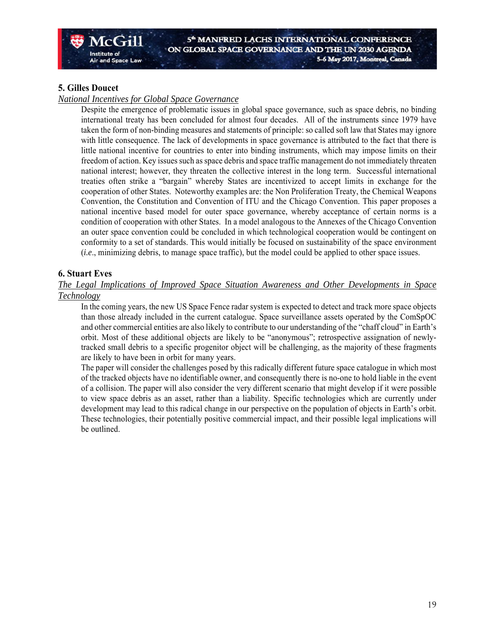#### **5. Gilles Doucet**

#### *National Incentives for Global Space Governance*

Despite the emergence of problematic issues in global space governance, such as space debris, no binding international treaty has been concluded for almost four decades. All of the instruments since 1979 have taken the form of non-binding measures and statements of principle: so called soft law that States may ignore with little consequence. The lack of developments in space governance is attributed to the fact that there is little national incentive for countries to enter into binding instruments, which may impose limits on their freedom of action. Key issues such as space debris and space traffic management do not immediately threaten national interest; however, they threaten the collective interest in the long term. Successful international treaties often strike a "bargain" whereby States are incentivized to accept limits in exchange for the cooperation of other States. Noteworthy examples are: the Non Proliferation Treaty, the Chemical Weapons Convention, the Constitution and Convention of ITU and the Chicago Convention. This paper proposes a national incentive based model for outer space governance, whereby acceptance of certain norms is a condition of cooperation with other States. In a model analogous to the Annexes of the Chicago Convention an outer space convention could be concluded in which technological cooperation would be contingent on conformity to a set of standards. This would initially be focused on sustainability of the space environment (*i.e*., minimizing debris, to manage space traffic), but the model could be applied to other space issues.

#### **6. Stuart Eves**

#### *The Legal Implications of Improved Space Situation Awareness and Other Developments in Space Technology*

In the coming years, the new US Space Fence radar system is expected to detect and track more space objects than those already included in the current catalogue. Space surveillance assets operated by the ComSpOC and other commercial entities are also likely to contribute to our understanding of the "chaff cloud" in Earth's orbit. Most of these additional objects are likely to be "anonymous"; retrospective assignation of newlytracked small debris to a specific progenitor object will be challenging, as the majority of these fragments are likely to have been in orbit for many years.

The paper will consider the challenges posed by this radically different future space catalogue in which most of the tracked objects have no identifiable owner, and consequently there is no-one to hold liable in the event of a collision. The paper will also consider the very different scenario that might develop if it were possible to view space debris as an asset, rather than a liability. Specific technologies which are currently under development may lead to this radical change in our perspective on the population of objects in Earth's orbit. These technologies, their potentially positive commercial impact, and their possible legal implications will be outlined.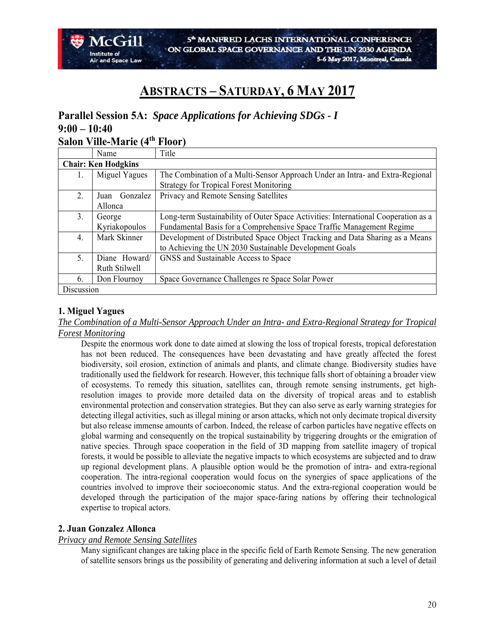# **ABSTRACTS – SATURDAY, 6 MAY 2017**

# **Parallel Session 5A:** *Space Applications for Achieving SDGs - I* **9:00 – 10:40**

# **Salon Ville-Marie (4th Floor)**

|            | Name                       | Title                                                                              |  |
|------------|----------------------------|------------------------------------------------------------------------------------|--|
|            | <b>Chair: Ken Hodgkins</b> |                                                                                    |  |
| Ι.         | Miguel Yagues              | The Combination of a Multi-Sensor Approach Under an Intra- and Extra-Regional      |  |
|            |                            | <b>Strategy for Tropical Forest Monitoring</b>                                     |  |
| 2.         | Gonzalez<br>Juan           | Privacy and Remote Sensing Satellites                                              |  |
|            | Allonca                    |                                                                                    |  |
| 3.         | George                     | Long-term Sustainability of Outer Space Activities: International Cooperation as a |  |
|            | Kyriakopoulos              | Fundamental Basis for a Comprehensive Space Traffic Management Regime              |  |
| 4.         | Mark Skinner               | Development of Distributed Space Object Tracking and Data Sharing as a Means       |  |
|            |                            | to Achieving the UN 2030 Sustainable Development Goals                             |  |
| 5.         | Diane Howard/              | GNSS and Sustainable Access to Space                                               |  |
|            | Ruth Stilwell              |                                                                                    |  |
| 6.         | Don Flournoy               | Space Governance Challenges re Space Solar Power                                   |  |
| Discussion |                            |                                                                                    |  |

#### **1. Miguel Yagues**

*The Combination of a Multi-Sensor Approach Under an Intra- and Extra-Regional Strategy for Tropical Forest Monitoring*

Despite the enormous work done to date aimed at slowing the loss of tropical forests, tropical deforestation has not been reduced. The consequences have been devastating and have greatly affected the forest biodiversity, soil erosion, extinction of animals and plants, and climate change. Biodiversity studies have traditionally used the fieldwork for research. However, this technique falls short of obtaining a broader view of ecosystems. To remedy this situation, satellites can, through remote sensing instruments, get highresolution images to provide more detailed data on the diversity of tropical areas and to establish environmental protection and conservation strategies. But they can also serve as early warning strategies for detecting illegal activities, such as illegal mining or arson attacks, which not only decimate tropical diversity but also release immense amounts of carbon. Indeed, the release of carbon particles have negative effects on global warming and consequently on the tropical sustainability by triggering droughts or the emigration of native species. Through space cooperation in the field of 3D mapping from satellite imagery of tropical forests, it would be possible to alleviate the negative impacts to which ecosystems are subjected and to draw up regional development plans. A plausible option would be the promotion of intra- and extra-regional cooperation. The intra-regional cooperation would focus on the synergies of space applications of the countries involved to improve their socioeconomic status. And the extra-regional cooperation would be developed through the participation of the major space-faring nations by offering their technological expertise to tropical actors.

#### **2. Juan Gonzalez Allonca**

#### *Privacy and Remote Sensing Satellites*

Many significant changes are taking place in the specific field of Earth Remote Sensing. The new generation of satellite sensors brings us the possibility of generating and delivering information at such a level of detail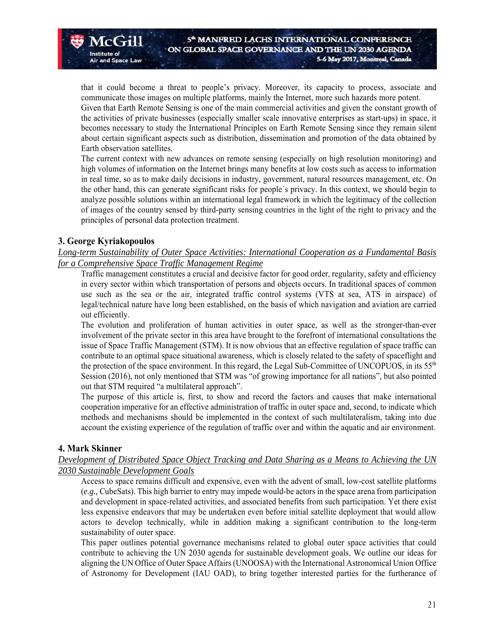that it could become a threat to people's privacy. Moreover, its capacity to process, associate and communicate those images on multiple platforms, mainly the Internet, more such hazards more potent. Given that Earth Remote Sensing is one of the main commercial activities and given the constant growth of the activities of private businesses (especially smaller scale innovative enterprises as start-ups) in space, it

becomes necessary to study the International Principles on Earth Remote Sensing since they remain silent about certain significant aspects such as distribution, dissemination and promotion of the data obtained by Earth observation satellites.

The current context with new advances on remote sensing (especially on high resolution monitoring) and high volumes of information on the Internet brings many benefits at low costs such as access to information in real time, so as to make daily decisions in industry, government, natural resources management, etc. On the other hand, this can generate significant risks for people´s privacy. In this context, we should begin to analyze possible solutions within an international legal framework in which the legitimacy of the collection of images of the country sensed by third-party sensing countries in the light of the right to privacy and the principles of personal data protection treatment.

#### **3. George Kyriakopoulos**

 $McGil$ 

and Space Law

Institute of

*Long-term Sustainability of Outer Space Activities: International Cooperation as a Fundamental Basis for a Comprehensive Space Traffic Management Regime* 

Traffic management constitutes a crucial and decisive factor for good order, regularity, safety and efficiency in every sector within which transportation of persons and objects occurs. In traditional spaces of common use such as the sea or the air, integrated traffic control systems (VTS at sea, ATS in airspace) of legal/technical nature have long been established, on the basis of which navigation and aviation are carried out efficiently.

The evolution and proliferation of human activities in outer space, as well as the stronger-than-ever involvement of the private sector in this area have brought to the forefront of international consultations the issue of Space Traffic Management (STM). It is now obvious that an effective regulation of space traffic can contribute to an optimal space situational awareness, which is closely related to the safety of spaceflight and the protection of the space environment. In this regard, the Legal Sub-Committee of UNCOPUOS, in its 55<sup>th</sup> Session (2016), not only mentioned that STM was "of growing importance for all nations", but also pointed out that STM required "a multilateral approach".

The purpose of this article is, first, to show and record the factors and causes that make international cooperation imperative for an effective administration of traffic in outer space and, second, to indicate which methods and mechanisms should be implemented in the context of such multilateralism, taking into due account the existing experience of the regulation of traffic over and within the aquatic and air environment.

#### **4. Mark Skinner**

#### *Development of Distributed Space Object Tracking and Data Sharing as a Means to Achieving the UN 2030 Sustainable Development Goals*

Access to space remains difficult and expensive, even with the advent of small, low-cost satellite platforms (*e.g.,* CubeSats). This high barrier to entry may impede would-be actors in the space arena from participation and development in space-related activities, and associated benefits from such participation. Yet there exist less expensive endeavors that may be undertaken even before initial satellite deployment that would allow actors to develop technically, while in addition making a significant contribution to the long-term sustainability of outer space.

This paper outlines potential governance mechanisms related to global outer space activities that could contribute to achieving the UN 2030 agenda for sustainable development goals. We outline our ideas for aligning the UN Office of Outer Space Affairs (UNOOSA) with the International Astronomical Union Office of Astronomy for Development (IAU OAD), to bring together interested parties for the furtherance of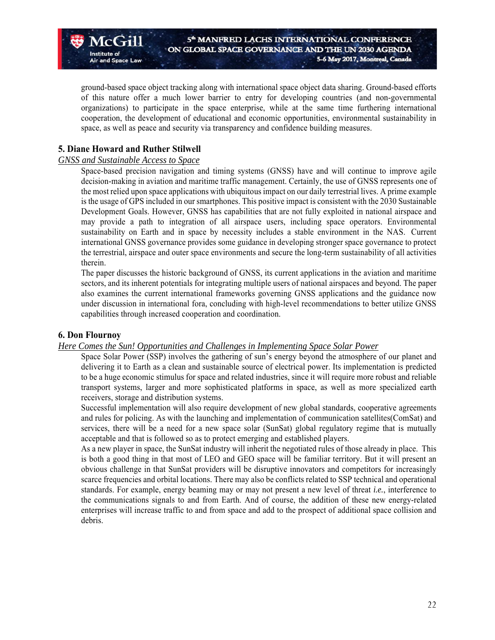ground-based space object tracking along with international space object data sharing. Ground-based efforts of this nature offer a much lower barrier to entry for developing countries (and non-governmental organizations) to participate in the space enterprise, while at the same time furthering international cooperation, the development of educational and economic opportunities, environmental sustainability in space, as well as peace and security via transparency and confidence building measures.

#### **5. Diane Howard and Ruther Stilwell**

Institute of

and Space Law

#### *GNSS and Sustainable Access to Space*

Space-based precision navigation and timing systems (GNSS) have and will continue to improve agile decision-making in aviation and maritime traffic management. Certainly, the use of GNSS represents one of the most relied upon space applications with ubiquitous impact on our daily terrestrial lives. A prime example is the usage of GPS included in our smartphones. This positive impact is consistent with the 2030 Sustainable Development Goals. However, GNSS has capabilities that are not fully exploited in national airspace and may provide a path to integration of all airspace users, including space operators. Environmental sustainability on Earth and in space by necessity includes a stable environment in the NAS. Current international GNSS governance provides some guidance in developing stronger space governance to protect the terrestrial, airspace and outer space environments and secure the long-term sustainability of all activities therein.

The paper discusses the historic background of GNSS, its current applications in the aviation and maritime sectors, and its inherent potentials for integrating multiple users of national airspaces and beyond. The paper also examines the current international frameworks governing GNSS applications and the guidance now under discussion in international fora, concluding with high-level recommendations to better utilize GNSS capabilities through increased cooperation and coordination.

#### **6. Don Flournoy**

#### *Here Comes the Sun! Opportunities and Challenges in Implementing Space Solar Power*

Space Solar Power (SSP) involves the gathering of sun's energy beyond the atmosphere of our planet and delivering it to Earth as a clean and sustainable source of electrical power. Its implementation is predicted to be a huge economic stimulus for space and related industries, since it will require more robust and reliable transport systems, larger and more sophisticated platforms in space, as well as more specialized earth receivers, storage and distribution systems.

Successful implementation will also require development of new global standards, cooperative agreements and rules for policing. As with the launching and implementation of communication satellites(ComSat) and services, there will be a need for a new space solar (SunSat) global regulatory regime that is mutually acceptable and that is followed so as to protect emerging and established players.

As a new player in space, the SunSat industry will inherit the negotiated rules of those already in place. This is both a good thing in that most of LEO and GEO space will be familiar territory. But it will present an obvious challenge in that SunSat providers will be disruptive innovators and competitors for increasingly scarce frequencies and orbital locations. There may also be conflicts related to SSP technical and operational standards. For example, energy beaming may or may not present a new level of threat *i.e.*, interference to the communications signals to and from Earth. And of course, the addition of these new energy-related enterprises will increase traffic to and from space and add to the prospect of additional space collision and debris.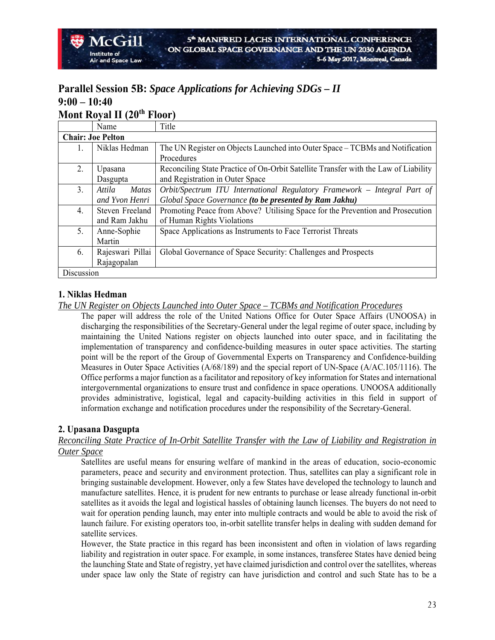### **Parallel Session 5B:** *Space Applications for Achieving SDGs – II* **9:00 – 10:40 Mont Royal II (20th Floor)**

| 1.101111111110 |                          |                                                                                     |
|----------------|--------------------------|-------------------------------------------------------------------------------------|
|                | Name                     | Title                                                                               |
|                | <b>Chair: Joe Pelton</b> |                                                                                     |
| 1.             | Niklas Hedman            | The UN Register on Objects Launched into Outer Space – TCBMs and Notification       |
|                |                          | Procedures                                                                          |
| 2.             | Upasana                  | Reconciling State Practice of On-Orbit Satellite Transfer with the Law of Liability |
|                | Dasgupta                 | and Registration in Outer Space                                                     |
| 3.             | Attila<br><b>Matas</b>   | Orbit/Spectrum ITU International Regulatory Framework - Integral Part of            |
|                | and Yvon Henri           | Global Space Governance (to be presented by Ram Jakhu)                              |
| 4.             | Steven Freeland          | Promoting Peace from Above? Utilising Space for the Prevention and Prosecution      |
|                | and Ram Jakhu            | of Human Rights Violations                                                          |
| 5.             | Anne-Sophie              | Space Applications as Instruments to Face Terrorist Threats                         |
|                | Martin                   |                                                                                     |
| 6.             | Rajeswari Pillai         | Global Governance of Space Security: Challenges and Prospects                       |
|                | Rajagopalan              |                                                                                     |
| Discussion     |                          |                                                                                     |

#### **1. Niklas Hedman**

*The UN Register on Objects Launched into Outer Space – TCBMs and Notification Procedures* 

The paper will address the role of the United Nations Office for Outer Space Affairs (UNOOSA) in discharging the responsibilities of the Secretary-General under the legal regime of outer space, including by maintaining the United Nations register on objects launched into outer space, and in facilitating the implementation of transparency and confidence-building measures in outer space activities. The starting point will be the report of the Group of Governmental Experts on Transparency and Confidence-building Measures in Outer Space Activities (A/68/189) and the special report of UN-Space (A/AC.105/1116). The Office performs a major function as a facilitator and repository of key information for States and international intergovernmental organizations to ensure trust and confidence in space operations. UNOOSA additionally provides administrative, logistical, legal and capacity-building activities in this field in support of information exchange and notification procedures under the responsibility of the Secretary-General.

#### **2. Upasana Dasgupta**

#### *Reconciling State Practice of In-Orbit Satellite Transfer with the Law of Liability and Registration in Outer Space*

Satellites are useful means for ensuring welfare of mankind in the areas of education, socio-economic parameters, peace and security and environment protection. Thus, satellites can play a significant role in bringing sustainable development. However, only a few States have developed the technology to launch and manufacture satellites. Hence, it is prudent for new entrants to purchase or lease already functional in-orbit satellites as it avoids the legal and logistical hassles of obtaining launch licenses. The buyers do not need to wait for operation pending launch, may enter into multiple contracts and would be able to avoid the risk of launch failure. For existing operators too, in-orbit satellite transfer helps in dealing with sudden demand for satellite services.

However, the State practice in this regard has been inconsistent and often in violation of laws regarding liability and registration in outer space. For example, in some instances, transferee States have denied being the launching State and State of registry, yet have claimed jurisdiction and control over the satellites, whereas under space law only the State of registry can have jurisdiction and control and such State has to be a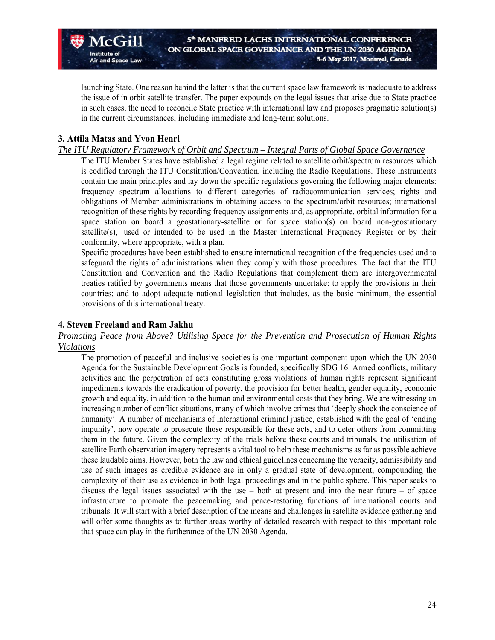launching State. One reason behind the latter is that the current space law framework is inadequate to address the issue of in orbit satellite transfer. The paper expounds on the legal issues that arise due to State practice in such cases, the need to reconcile State practice with international law and proposes pragmatic solution(s) in the current circumstances, including immediate and long-term solutions.

#### **3. Attila Matas and Yvon Henri**

 $McG - I$ 

**Air and Space Law** 

Institute of

#### *The ITU Regulatory Framework of Orbit and Spectrum – Integral Parts of Global Space Governance*

The ITU Member States have established a legal regime related to satellite orbit/spectrum resources which is codified through the ITU Constitution/Convention, including the Radio Regulations. These instruments contain the main principles and lay down the specific regulations governing the following major elements: frequency spectrum allocations to different categories of radiocommunication services; rights and obligations of Member administrations in obtaining access to the spectrum/orbit resources; international recognition of these rights by recording frequency assignments and, as appropriate, orbital information for a space station on board a geostationary-satellite or for space station(s) on board non-geostationary satellite(s), used or intended to be used in the Master International Frequency Register or by their conformity, where appropriate, with a plan.

Specific procedures have been established to ensure international recognition of the frequencies used and to safeguard the rights of administrations when they comply with those procedures. The fact that the ITU Constitution and Convention and the Radio Regulations that complement them are intergovernmental treaties ratified by governments means that those governments undertake: to apply the provisions in their countries; and to adopt adequate national legislation that includes, as the basic minimum, the essential provisions of this international treaty.

#### **4. Steven Freeland and Ram Jakhu**

#### *Promoting Peace from Above? Utilising Space for the Prevention and Prosecution of Human Rights Violations*

The promotion of peaceful and inclusive societies is one important component upon which the UN 2030 Agenda for the Sustainable Development Goals is founded, specifically SDG 16. Armed conflicts, military activities and the perpetration of acts constituting gross violations of human rights represent significant impediments towards the eradication of poverty, the provision for better health, gender equality, economic growth and equality, in addition to the human and environmental costs that they bring. We are witnessing an increasing number of conflict situations, many of which involve crimes that 'deeply shock the conscience of humanity'. A number of mechanisms of international criminal justice, established with the goal of 'ending impunity', now operate to prosecute those responsible for these acts, and to deter others from committing them in the future. Given the complexity of the trials before these courts and tribunals, the utilisation of satellite Earth observation imagery represents a vital tool to help these mechanisms as far as possible achieve these laudable aims. However, both the law and ethical guidelines concerning the veracity, admissibility and use of such images as credible evidence are in only a gradual state of development, compounding the complexity of their use as evidence in both legal proceedings and in the public sphere. This paper seeks to discuss the legal issues associated with the use – both at present and into the near future – of space infrastructure to promote the peacemaking and peace-restoring functions of international courts and tribunals. It will start with a brief description of the means and challenges in satellite evidence gathering and will offer some thoughts as to further areas worthy of detailed research with respect to this important role that space can play in the furtherance of the UN 2030 Agenda.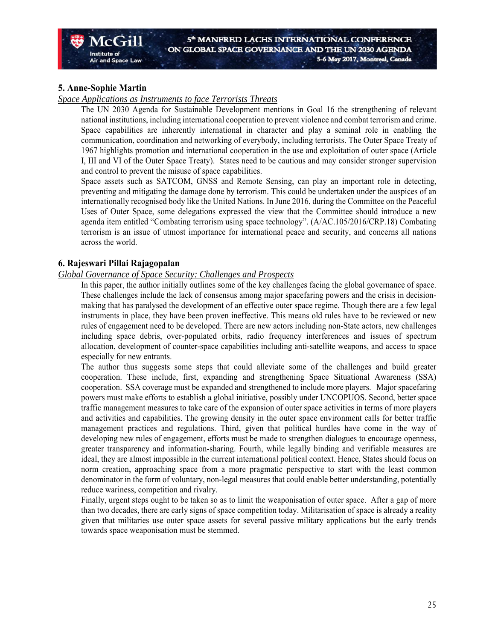#### **5. Anne-Sophie Martin**

#### *Space Applications as Instruments to face Terrorists Threats*

The UN 2030 Agenda for Sustainable Development mentions in Goal 16 the strengthening of relevant national institutions, including international cooperation to prevent violence and combat terrorism and crime. Space capabilities are inherently international in character and play a seminal role in enabling the communication, coordination and networking of everybody, including terrorists. The Outer Space Treaty of 1967 highlights promotion and international cooperation in the use and exploitation of outer space (Article I, III and VI of the Outer Space Treaty). States need to be cautious and may consider stronger supervision and control to prevent the misuse of space capabilities.

Space assets such as SATCOM, GNSS and Remote Sensing, can play an important role in detecting, preventing and mitigating the damage done by terrorism. This could be undertaken under the auspices of an internationally recognised body like the United Nations. In June 2016, during the Committee on the Peaceful Uses of Outer Space, some delegations expressed the view that the Committee should introduce a new agenda item entitled "Combating terrorism using space technology". (A/AC.105/2016/CRP.18) Combating terrorism is an issue of utmost importance for international peace and security, and concerns all nations across the world.

#### **6. Rajeswari Pillai Rajagopalan**

#### *Global Governance of Space Security: Challenges and Prospects*

In this paper, the author initially outlines some of the key challenges facing the global governance of space. These challenges include the lack of consensus among major spacefaring powers and the crisis in decisionmaking that has paralysed the development of an effective outer space regime. Though there are a few legal instruments in place, they have been proven ineffective. This means old rules have to be reviewed or new rules of engagement need to be developed. There are new actors including non-State actors, new challenges including space debris, over-populated orbits, radio frequency interferences and issues of spectrum allocation, development of counter-space capabilities including anti-satellite weapons, and access to space especially for new entrants.

The author thus suggests some steps that could alleviate some of the challenges and build greater cooperation. These include, first, expanding and strengthening Space Situational Awareness (SSA) cooperation. SSA coverage must be expanded and strengthened to include more players. Major spacefaring powers must make efforts to establish a global initiative, possibly under UNCOPUOS. Second, better space traffic management measures to take care of the expansion of outer space activities in terms of more players and activities and capabilities. The growing density in the outer space environment calls for better traffic management practices and regulations. Third, given that political hurdles have come in the way of developing new rules of engagement, efforts must be made to strengthen dialogues to encourage openness, greater transparency and information-sharing. Fourth, while legally binding and verifiable measures are ideal, they are almost impossible in the current international political context. Hence, States should focus on norm creation, approaching space from a more pragmatic perspective to start with the least common denominator in the form of voluntary, non-legal measures that could enable better understanding, potentially reduce wariness, competition and rivalry.

Finally, urgent steps ought to be taken so as to limit the weaponisation of outer space. After a gap of more than two decades, there are early signs of space competition today. Militarisation of space is already a reality given that militaries use outer space assets for several passive military applications but the early trends towards space weaponisation must be stemmed.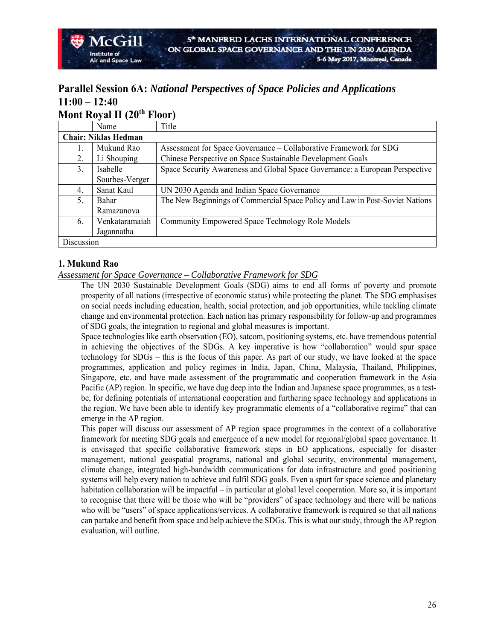#### **Parallel Session 6A:** *National Perspectives of Space Policies and Applications* **11:00 – 12:40 Mont Royal II (20th Floor)**

|            | IVIUIIL INUVAL II LAU       | I' IVVI J                                                                    |
|------------|-----------------------------|------------------------------------------------------------------------------|
|            | Name                        | Title                                                                        |
|            | <b>Chair: Niklas Hedman</b> |                                                                              |
|            | Mukund Rao                  | Assessment for Space Governance – Collaborative Framework for SDG            |
| 2.         | Li Shouping                 | Chinese Perspective on Space Sustainable Development Goals                   |
| 3.         | Isabelle                    | Space Security Awareness and Global Space Governance: a European Perspective |
|            | Sourbes-Verger              |                                                                              |
| 4.         | Sanat Kaul                  | UN 2030 Agenda and Indian Space Governance                                   |
| 5.         | Bahar                       | The New Beginnings of Commercial Space Policy and Law in Post-Soviet Nations |
|            | Ramazanova                  |                                                                              |
| 6.         | Venkataramaiah              | Community Empowered Space Technology Role Models                             |
|            | Jagannatha                  |                                                                              |
| Discussion |                             |                                                                              |

#### **1. Mukund Rao**

 $\sqrt{C}$   $\mathbf{H}$ 

#### *Assessment for Space Governance – Collaborative Framework for SDG*

The UN 2030 Sustainable Development Goals (SDG) aims to end all forms of poverty and promote prosperity of all nations (irrespective of economic status) while protecting the planet. The SDG emphasises on social needs including education, health, social protection, and job opportunities, while tackling climate change and environmental protection. Each nation has primary responsibility for follow-up and programmes of SDG goals, the integration to regional and global measures is important.

Space technologies like earth observation (EO), satcom, positioning systems, etc. have tremendous potential in achieving the objectives of the SDGs. A key imperative is how "collaboration" would spur space technology for SDGs – this is the focus of this paper. As part of our study, we have looked at the space programmes, application and policy regimes in India, Japan, China, Malaysia, Thailand, Philippines, Singapore, etc. and have made assessment of the programmatic and cooperation framework in the Asia Pacific (AP) region. In specific, we have dug deep into the Indian and Japanese space programmes, as a testbe, for defining potentials of international cooperation and furthering space technology and applications in the region. We have been able to identify key programmatic elements of a "collaborative regime" that can emerge in the AP region.

This paper will discuss our assessment of AP region space programmes in the context of a collaborative framework for meeting SDG goals and emergence of a new model for regional/global space governance. It is envisaged that specific collaborative framework steps in EO applications, especially for disaster management, national geospatial programs, national and global security, environmental management, climate change, integrated high-bandwidth communications for data infrastructure and good positioning systems will help every nation to achieve and fulfil SDG goals. Even a spurt for space science and planetary habitation collaboration will be impactful – in particular at global level cooperation. More so, it is important to recognise that there will be those who will be "providers" of space technology and there will be nations who will be "users" of space applications/services. A collaborative framework is required so that all nations can partake and benefit from space and help achieve the SDGs. This is what our study, through the AP region evaluation, will outline.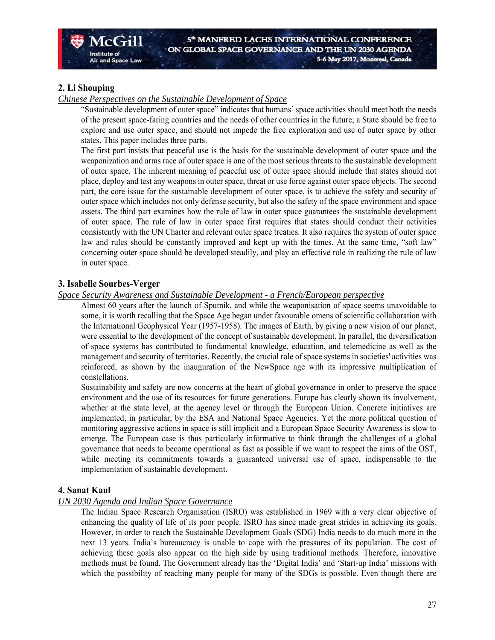#### **2. Li Shouping**

Institute of

**Air and Space Law** 

#### *Chinese Perspectives on the Sustainable Development of Space*

"Sustainable development of outer space" indicates that humans' space activities should meet both the needs of the present space-faring countries and the needs of other countries in the future; a State should be free to explore and use outer space, and should not impede the free exploration and use of outer space by other states. This paper includes three parts.

The first part insists that peaceful use is the basis for the sustainable development of outer space and the weaponization and arms race of outer space is one of the most serious threats to the sustainable development of outer space. The inherent meaning of peaceful use of outer space should include that states should not place, deploy and test any weapons in outer space, threat or use force against outer space objects. The second part, the core issue for the sustainable development of outer space, is to achieve the safety and security of outer space which includes not only defense security, but also the safety of the space environment and space assets. The third part examines how the rule of law in outer space guarantees the sustainable development of outer space. The rule of law in outer space first requires that states should conduct their activities consistently with the UN Charter and relevant outer space treaties. It also requires the system of outer space law and rules should be constantly improved and kept up with the times. At the same time, "soft law" concerning outer space should be developed steadily, and play an effective role in realizing the rule of law in outer space.

#### **3. Isabelle Sourbes-Verger**

#### *Space Security Awareness and Sustainable Development - a French/European perspective*

Almost 60 years after the launch of Sputnik, and while the weaponisation of space seems unavoidable to some, it is worth recalling that the Space Age began under favourable omens of scientific collaboration with the International Geophysical Year (1957-1958). The images of Earth, by giving a new vision of our planet, were essential to the development of the concept of sustainable development. In parallel, the diversification of space systems has contributed to fundamental knowledge, education, and telemedicine as well as the management and security of territories. Recently, the crucial role of space systems in societies' activities was reinforced, as shown by the inauguration of the NewSpace age with its impressive multiplication of constellations.

Sustainability and safety are now concerns at the heart of global governance in order to preserve the space environment and the use of its resources for future generations. Europe has clearly shown its involvement, whether at the state level, at the agency level or through the European Union. Concrete initiatives are implemented, in particular, by the ESA and National Space Agencies. Yet the more political question of monitoring aggressive actions in space is still implicit and a European Space Security Awareness is slow to emerge. The European case is thus particularly informative to think through the challenges of a global governance that needs to become operational as fast as possible if we want to respect the aims of the OST, while meeting its commitments towards a guaranteed universal use of space, indispensable to the implementation of sustainable development.

#### **4. Sanat Kaul**

#### *UN 2030 Agenda and Indian Space Governance*

The Indian Space Research Organisation (ISRO) was established in 1969 with a very clear objective of enhancing the quality of life of its poor people. ISRO has since made great strides in achieving its goals. However, in order to reach the Sustainable Development Goals (SDG) India needs to do much more in the next 13 years. India's bureaucracy is unable to cope with the pressures of its population. The cost of achieving these goals also appear on the high side by using traditional methods. Therefore, innovative methods must be found. The Government already has the 'Digital India' and 'Start-up India' missions with which the possibility of reaching many people for many of the SDGs is possible. Even though there are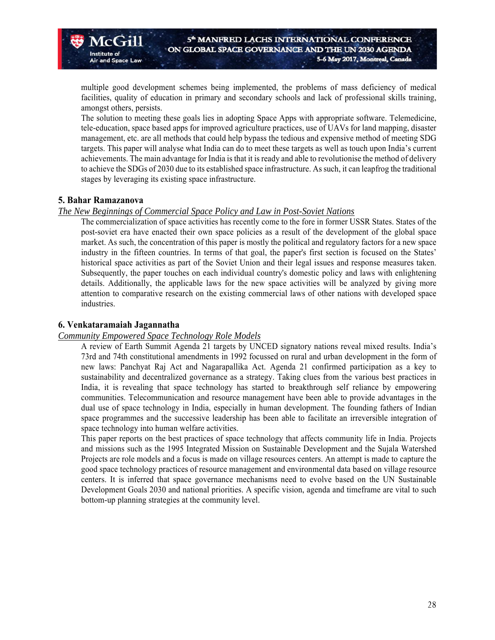multiple good development schemes being implemented, the problems of mass deficiency of medical facilities, quality of education in primary and secondary schools and lack of professional skills training, amongst others, persists.

The solution to meeting these goals lies in adopting Space Apps with appropriate software. Telemedicine, tele-education, space based apps for improved agriculture practices, use of UAVs for land mapping, disaster management, etc. are all methods that could help bypass the tedious and expensive method of meeting SDG targets. This paper will analyse what India can do to meet these targets as well as touch upon India's current achievements. The main advantage for India is that it is ready and able to revolutionise the method of delivery to achieve the SDGs of 2030 due to its established space infrastructure. As such, it can leapfrog the traditional stages by leveraging its existing space infrastructure.

#### **5. Bahar Ramazanova**

 $\sqrt{C}$  $\mathbf{H}$ 

and Space Law

Institute of

#### *The New Beginnings of Commercial Space Policy and Law in Post-Soviet Nations*

The commercialization of space activities has recently come to the fore in former USSR States. States of the post-soviet era have enacted their own space policies as a result of the development of the global space market. As such, the concentration of this paper is mostly the political and regulatory factors for a new space industry in the fifteen countries. In terms of that goal, the paper's first section is focused on the States' historical space activities as part of the Soviet Union and their legal issues and response measures taken. Subsequently, the paper touches on each individual country's domestic policy and laws with enlightening details. Additionally, the applicable laws for the new space activities will be analyzed by giving more attention to comparative research on the existing commercial laws of other nations with developed space industries.

#### **6. Venkataramaiah Jagannatha**

#### *Community Empowered Space Technology Role Models*

A review of Earth Summit Agenda 21 targets by UNCED signatory nations reveal mixed results. India's 73rd and 74th constitutional amendments in 1992 focussed on rural and urban development in the form of new laws: Panchyat Raj Act and Nagarapallika Act. Agenda 21 confirmed participation as a key to sustainability and decentralized governance as a strategy. Taking clues from the various best practices in India, it is revealing that space technology has started to breakthrough self reliance by empowering communities. Telecommunication and resource management have been able to provide advantages in the dual use of space technology in India, especially in human development. The founding fathers of Indian space programmes and the successive leadership has been able to facilitate an irreversible integration of space technology into human welfare activities.

This paper reports on the best practices of space technology that affects community life in India. Projects and missions such as the 1995 Integrated Mission on Sustainable Development and the Sujala Watershed Projects are role models and a focus is made on village resources centers. An attempt is made to capture the good space technology practices of resource management and environmental data based on village resource centers. It is inferred that space governance mechanisms need to evolve based on the UN Sustainable Development Goals 2030 and national priorities. A specific vision, agenda and timeframe are vital to such bottom-up planning strategies at the community level.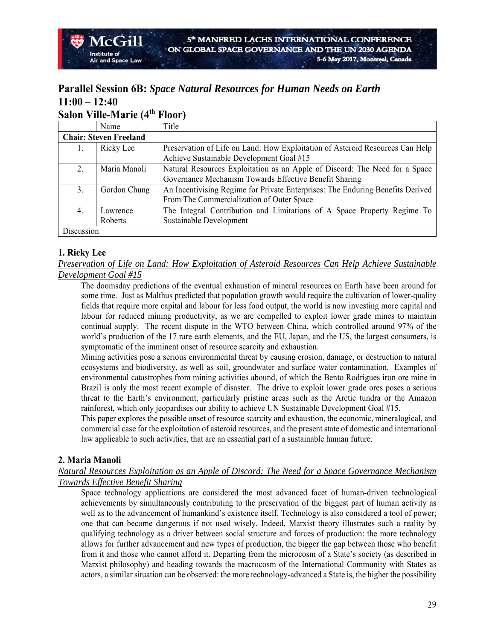### **Parallel Session 6B:** *Space Natural Resources for Human Needs on Earth* **11:00 – 12:40 Salon Ville-Marie (4th Floor)**

|            | $\sim$ $\mu$ on $\sim$ $\mu$ $\sim$ $\mu$ $\sim$ $\mu$ $\sim$ | 1100I                                                                          |
|------------|---------------------------------------------------------------|--------------------------------------------------------------------------------|
|            | Name                                                          | Title                                                                          |
|            | <b>Chair: Steven Freeland</b>                                 |                                                                                |
|            | Ricky Lee                                                     | Preservation of Life on Land: How Exploitation of Asteroid Resources Can Help  |
|            |                                                               | Achieve Sustainable Development Goal #15                                       |
| 2.         | Maria Manoli                                                  | Natural Resources Exploitation as an Apple of Discord: The Need for a Space    |
|            |                                                               | Governance Mechanism Towards Effective Benefit Sharing                         |
| 3.         | Gordon Chung                                                  | An Incentivising Regime for Private Enterprises: The Enduring Benefits Derived |
|            |                                                               | From The Commercialization of Outer Space                                      |
| 4.         | Lawrence                                                      | The Integral Contribution and Limitations of A Space Property Regime To        |
|            | Roberts                                                       | Sustainable Development                                                        |
| Discussion |                                                               |                                                                                |

#### **1. Ricky Lee**

McGill

Institute of

*Preservation of Life on Land: How Exploitation of Asteroid Resources Can Help Achieve Sustainable Development Goal #15* 

The doomsday predictions of the eventual exhaustion of mineral resources on Earth have been around for some time. Just as Malthus predicted that population growth would require the cultivation of lower-quality fields that require more capital and labour for less food output, the world is now investing more capital and labour for reduced mining productivity, as we are compelled to exploit lower grade mines to maintain continual supply. The recent dispute in the WTO between China, which controlled around 97% of the world's production of the 17 rare earth elements, and the EU, Japan, and the US, the largest consumers, is symptomatic of the imminent onset of resource scarcity and exhaustion.

Mining activities pose a serious environmental threat by causing erosion, damage, or destruction to natural ecosystems and biodiversity, as well as soil, groundwater and surface water contamination. Examples of environmental catastrophes from mining activities abound, of which the Bento Rodrigues iron ore mine in Brazil is only the most recent example of disaster. The drive to exploit lower grade ores poses a serious threat to the Earth's environment, particularly pristine areas such as the Arctic tundra or the Amazon rainforest, which only jeopardises our ability to achieve UN Sustainable Development Goal #15.

This paper explores the possible onset of resource scarcity and exhaustion, the economic, mineralogical, and commercial case for the exploitation of asteroid resources, and the present state of domestic and international law applicable to such activities, that are an essential part of a sustainable human future.

#### **2. Maria Manoli**

#### *Natural Resources Exploitation as an Apple of Discord: The Need for a Space Governance Mechanism Towards Effective Benefit Sharing*

Space technology applications are considered the most advanced facet of human-driven technological achievements by simultaneously contributing to the preservation of the biggest part of human activity as well as to the advancement of humankind's existence itself. Technology is also considered a tool of power; one that can become dangerous if not used wisely. Indeed, Marxist theory illustrates such a reality by qualifying technology as a driver between social structure and forces of production: the more technology allows for further advancement and new types of production, the bigger the gap between those who benefit from it and those who cannot afford it. Departing from the microcosm of a State's society (as described in Marxist philosophy) and heading towards the macrocosm of the International Community with States as actors, a similar situation can be observed: the more technology-advanced a State is, the higher the possibility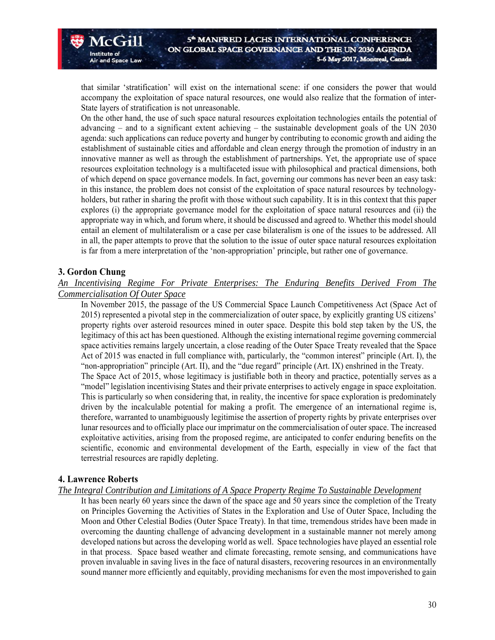that similar 'stratification' will exist on the international scene: if one considers the power that would accompany the exploitation of space natural resources, one would also realize that the formation of inter-State layers of stratification is not unreasonable.

On the other hand, the use of such space natural resources exploitation technologies entails the potential of advancing – and to a significant extent achieving – the sustainable development goals of the UN 2030 agenda: such applications can reduce poverty and hunger by contributing to economic growth and aiding the establishment of sustainable cities and affordable and clean energy through the promotion of industry in an innovative manner as well as through the establishment of partnerships. Yet, the appropriate use of space resources exploitation technology is a multifaceted issue with philosophical and practical dimensions, both of which depend on space governance models. In fact, governing our commons has never been an easy task: in this instance, the problem does not consist of the exploitation of space natural resources by technologyholders, but rather in sharing the profit with those without such capability. It is in this context that this paper explores (i) the appropriate governance model for the exploitation of space natural resources and (ii) the appropriate way in which, and forum where, it should be discussed and agreed to. Whether this model should entail an element of multilateralism or a case per case bilateralism is one of the issues to be addressed. All in all, the paper attempts to prove that the solution to the issue of outer space natural resources exploitation is far from a mere interpretation of the 'non-appropriation' principle, but rather one of governance.

#### **3. Gordon Chung**

 $McCH$ 

**Air and Space Law** 

Institute of

*An Incentivising Regime For Private Enterprises: The Enduring Benefits Derived From The Commercialisation Of Outer Space* 

In November 2015, the passage of the US Commercial Space Launch Competitiveness Act (Space Act of 2015) represented a pivotal step in the commercialization of outer space, by explicitly granting US citizens' property rights over asteroid resources mined in outer space. Despite this bold step taken by the US, the legitimacy of this act has been questioned. Although the existing international regime governing commercial space activities remains largely uncertain, a close reading of the Outer Space Treaty revealed that the Space Act of 2015 was enacted in full compliance with, particularly, the "common interest" principle (Art. I), the "non-appropriation" principle (Art. II), and the "due regard" principle (Art. IX) enshrined in the Treaty. The Space Act of 2015, whose legitimacy is justifiable both in theory and practice, potentially serves as a "model" legislation incentivising States and their private enterprises to actively engage in space exploitation. This is particularly so when considering that, in reality, the incentive for space exploration is predominately driven by the incalculable potential for making a profit. The emergence of an international regime is, therefore, warranted to unambiguously legitimise the assertion of property rights by private enterprises over lunar resources and to officially place our imprimatur on the commercialisation of outer space. The increased exploitative activities, arising from the proposed regime, are anticipated to confer enduring benefits on the scientific, economic and environmental development of the Earth, especially in view of the fact that terrestrial resources are rapidly depleting.

#### **4. Lawrence Roberts**

#### *The Integral Contribution and Limitations of A Space Property Regime To Sustainable Development*

It has been nearly 60 years since the dawn of the space age and 50 years since the completion of the Treaty on Principles Governing the Activities of States in the Exploration and Use of Outer Space, Including the Moon and Other Celestial Bodies (Outer Space Treaty). In that time, tremendous strides have been made in overcoming the daunting challenge of advancing development in a sustainable manner not merely among developed nations but across the developing world as well. Space technologies have played an essential role in that process. Space based weather and climate forecasting, remote sensing, and communications have proven invaluable in saving lives in the face of natural disasters, recovering resources in an environmentally sound manner more efficiently and equitably, providing mechanisms for even the most impoverished to gain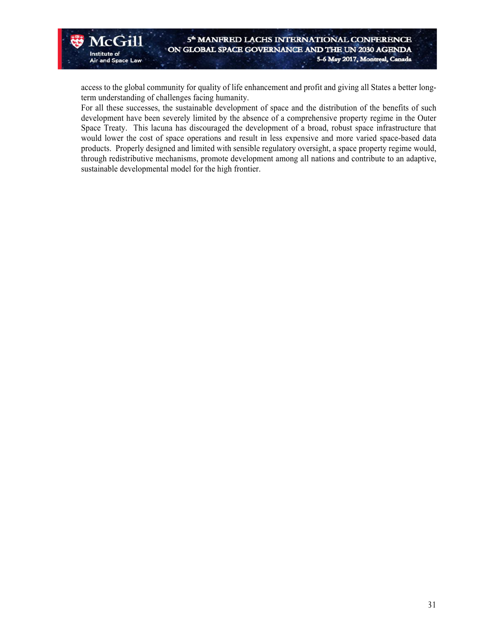access to the global community for quality of life enhancement and profit and giving all States a better longterm understanding of challenges facing humanity.

For all these successes, the sustainable development of space and the distribution of the benefits of such development have been severely limited by the absence of a comprehensive property regime in the Outer Space Treaty. This lacuna has discouraged the development of a broad, robust space infrastructure that would lower the cost of space operations and result in less expensive and more varied space-based data products. Properly designed and limited with sensible regulatory oversight, a space property regime would, through redistributive mechanisms, promote development among all nations and contribute to an adaptive, sustainable developmental model for the high frontier.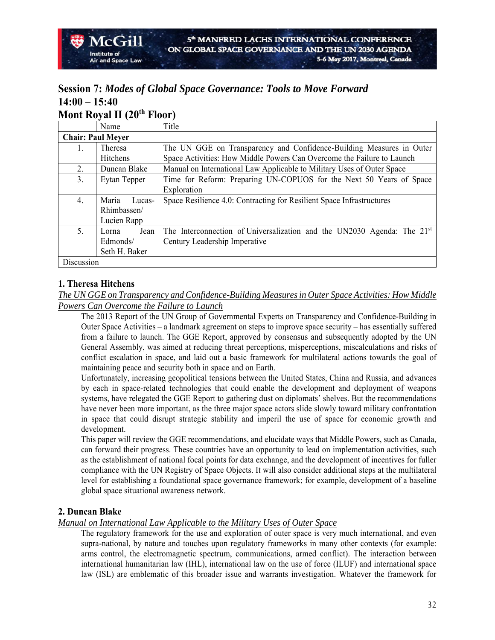# **Session 7:** *Modes of Global Space Governance: Tools to Move Forward* **14:00 – 15:40**

# **Mont Royal II (20th Floor)**

|                          | Name            | Title                                                                               |
|--------------------------|-----------------|-------------------------------------------------------------------------------------|
| <b>Chair: Paul Meyer</b> |                 |                                                                                     |
| 1.                       | Theresa         | The UN GGE on Transparency and Confidence-Building Measures in Outer                |
|                          | Hitchens        | Space Activities: How Middle Powers Can Overcome the Failure to Launch              |
| 2.                       | Duncan Blake    | Manual on International Law Applicable to Military Uses of Outer Space              |
| 3.                       | Eytan Tepper    | Time for Reform: Preparing UN-COPUOS for the Next 50 Years of Space                 |
|                          |                 | Exploration                                                                         |
| 4.                       | Maria<br>Lucas- | Space Resilience 4.0: Contracting for Resilient Space Infrastructures               |
|                          | Rhimbassen/     |                                                                                     |
|                          | Lucien Rapp     |                                                                                     |
| 5.                       | Jean<br>Lorna   | The Interconnection of Universalization and the UN2030 Agenda: The 21 <sup>st</sup> |
|                          | Edmonds/        | Century Leadership Imperative                                                       |
|                          | Seth H. Baker   |                                                                                     |
| Discussion               |                 |                                                                                     |

#### **1. Theresa Hitchens**

*The UN GGE on Transparency and Confidence-Building Measures in Outer Space Activities: How Middle Powers Can Overcome the Failure to Launch* 

The 2013 Report of the UN Group of Governmental Experts on Transparency and Confidence-Building in Outer Space Activities – a landmark agreement on steps to improve space security – has essentially suffered from a failure to launch. The GGE Report, approved by consensus and subsequently adopted by the UN General Assembly, was aimed at reducing threat perceptions, misperceptions, miscalculations and risks of conflict escalation in space, and laid out a basic framework for multilateral actions towards the goal of maintaining peace and security both in space and on Earth.

Unfortunately, increasing geopolitical tensions between the United States, China and Russia, and advances by each in space-related technologies that could enable the development and deployment of weapons systems, have relegated the GGE Report to gathering dust on diplomats' shelves. But the recommendations have never been more important, as the three major space actors slide slowly toward military confrontation in space that could disrupt strategic stability and imperil the use of space for economic growth and development.

This paper will review the GGE recommendations, and elucidate ways that Middle Powers, such as Canada, can forward their progress. These countries have an opportunity to lead on implementation activities, such as the establishment of national focal points for data exchange, and the development of incentives for fuller compliance with the UN Registry of Space Objects. It will also consider additional steps at the multilateral level for establishing a foundational space governance framework; for example, development of a baseline global space situational awareness network.

#### **2. Duncan Blake**

#### *Manual on International Law Applicable to the Military Uses of Outer Space*

The regulatory framework for the use and exploration of outer space is very much international, and even supra-national, by nature and touches upon regulatory frameworks in many other contexts (for example: arms control, the electromagnetic spectrum, communications, armed conflict). The interaction between international humanitarian law (IHL), international law on the use of force (ILUF) and international space law (ISL) are emblematic of this broader issue and warrants investigation. Whatever the framework for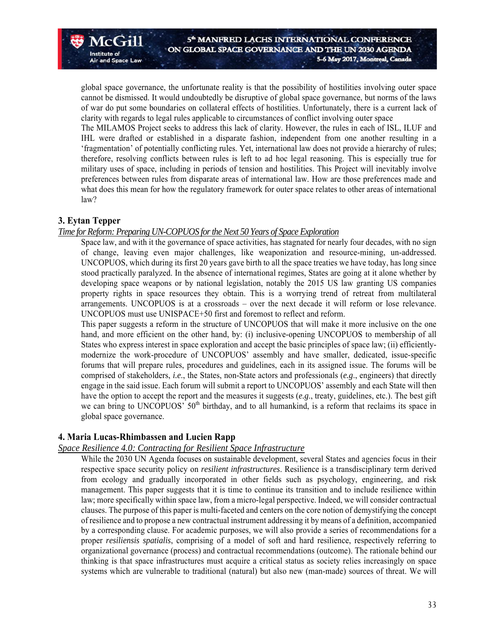global space governance, the unfortunate reality is that the possibility of hostilities involving outer space cannot be dismissed. It would undoubtedly be disruptive of global space governance, but norms of the laws of war do put some boundaries on collateral effects of hostilities. Unfortunately, there is a current lack of clarity with regards to legal rules applicable to circumstances of conflict involving outer space

The MILAMOS Project seeks to address this lack of clarity. However, the rules in each of ISL, ILUF and IHL were drafted or established in a disparate fashion, independent from one another resulting in a 'fragmentation' of potentially conflicting rules. Yet, international law does not provide a hierarchy of rules; therefore, resolving conflicts between rules is left to ad hoc legal reasoning. This is especially true for military uses of space, including in periods of tension and hostilities. This Project will inevitably involve preferences between rules from disparate areas of international law. How are those preferences made and what does this mean for how the regulatory framework for outer space relates to other areas of international law?

#### **3. Eytan Tepper**

 $\sqrt{C}$  $\left($  $\frac{1}{11}\right)$ 

and Space Law

Institute of

#### *Time for Reform: Preparing UN-COPUOS for the Next 50 Years of Space Exploration*

Space law, and with it the governance of space activities, has stagnated for nearly four decades, with no sign of change, leaving even major challenges, like weaponization and resource-mining, un-addressed. UNCOPUOS, which during its first 20 years gave birth to all the space treaties we have today, has long since stood practically paralyzed. In the absence of international regimes, States are going at it alone whether by developing space weapons or by national legislation, notably the 2015 US law granting US companies property rights in space resources they obtain. This is a worrying trend of retreat from multilateral arrangements. UNCOPUOS is at a crossroads – over the next decade it will reform or lose relevance. UNCOPUOS must use UNISPACE+50 first and foremost to reflect and reform.

This paper suggests a reform in the structure of UNCOPUOS that will make it more inclusive on the one hand, and more efficient on the other hand, by: (i) inclusive-opening UNCOPUOS to membership of all States who express interest in space exploration and accept the basic principles of space law; (ii) efficientlymodernize the work-procedure of UNCOPUOS' assembly and have smaller, dedicated, issue-specific forums that will prepare rules, procedures and guidelines, each in its assigned issue. The forums will be comprised of stakeholders, *i.e*., the States, non-State actors and professionals (*e.g*., engineers) that directly engage in the said issue. Each forum will submit a report to UNCOPUOS' assembly and each State will then have the option to accept the report and the measures it suggests (*e.g*., treaty, guidelines, etc.). The best gift we can bring to UNCOPUOS'  $50<sup>th</sup>$  birthday, and to all humankind, is a reform that reclaims its space in global space governance.

#### **4. Maria Lucas-Rhimbassen and Lucien Rapp**

#### *Space Resilience 4.0: Contracting for Resilient Space Infrastructure*

While the 2030 UN Agenda focuses on sustainable development, several States and agencies focus in their respective space security policy on *resilient infrastructures*. Resilience is a transdisciplinary term derived from ecology and gradually incorporated in other fields such as psychology, engineering, and risk management. This paper suggests that it is time to continue its transition and to include resilience within law; more specifically within space law, from a micro-legal perspective. Indeed, we will consider contractual clauses. The purpose of this paper is multi-faceted and centers on the core notion of demystifying the concept of resilience and to propose a new contractual instrument addressing it by means of a definition, accompanied by a corresponding clause. For academic purposes, we will also provide a series of recommendations for a proper *resiliensis spatialis*, comprising of a model of soft and hard resilience, respectively referring to organizational governance (process) and contractual recommendations (outcome). The rationale behind our thinking is that space infrastructures must acquire a critical status as society relies increasingly on space systems which are vulnerable to traditional (natural) but also new (man-made) sources of threat. We will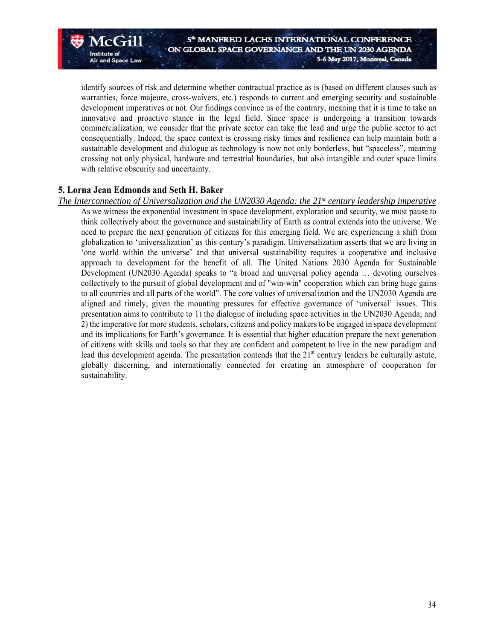identify sources of risk and determine whether contractual practice as is (based on different clauses such as warranties, force majeure, cross-waivers, etc.) responds to current and emerging security and sustainable development imperatives or not. Our findings convince us of the contrary, meaning that it is time to take an innovative and proactive stance in the legal field. Since space is undergoing a transition towards commercialization, we consider that the private sector can take the lead and urge the public sector to act consequentially. Indeed, the space context is crossing risky times and resilience can help maintain both a sustainable development and dialogue as technology is now not only borderless, but "spaceless", meaning crossing not only physical, hardware and terrestrial boundaries, but also intangible and outer space limits with relative obscurity and uncertainty.

#### **5. Lorna Jean Edmonds and Seth H. Baker**

 $McGril$ 

**Air and Space Law** 

Institute of

*The Interconnection of Universalization and the UN2030 Agenda: the 21st century leadership imperative* 

As we witness the exponential investment in space development, exploration and security, we must pause to think collectively about the governance and sustainability of Earth as control extends into the universe. We need to prepare the next generation of citizens for this emerging field. We are experiencing a shift from globalization to 'universalization' as this century's paradigm. Universalization asserts that we are living in 'one world within the universe' and that universal sustainability requires a cooperative and inclusive approach to development for the benefit of all. The United Nations 2030 Agenda for Sustainable Development (UN2030 Agenda) speaks to "a broad and universal policy agenda … devoting ourselves collectively to the pursuit of global development and of "win-win" cooperation which can bring huge gains to all countries and all parts of the world". The core values of universalization and the UN2030 Agenda are aligned and timely, given the mounting pressures for effective governance of 'universal' issues. This presentation aims to contribute to 1) the dialogue of including space activities in the UN2030 Agenda; and 2) the imperative for more students, scholars, citizens and policy makers to be engaged in space development and its implications for Earth's governance. It is essential that higher education prepare the next generation of citizens with skills and tools so that they are confident and competent to live in the new paradigm and lead this development agenda. The presentation contends that the  $21<sup>st</sup>$  century leaders be culturally astute, globally discerning, and internationally connected for creating an atmosphere of cooperation for sustainability.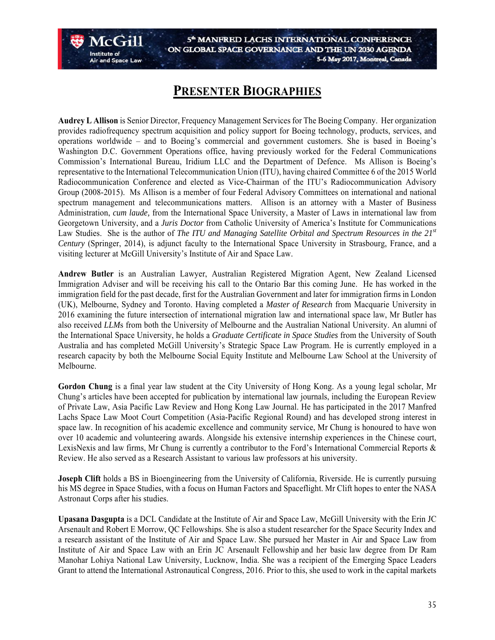# **PRESENTER BIOGRAPHIES**

and Space Law

**Audrey L Allison** is Senior Director, Frequency Management Services for The Boeing Company. Her organization provides radiofrequency spectrum acquisition and policy support for Boeing technology, products, services, and operations worldwide – and to Boeing's commercial and government customers. She is based in Boeing's Washington D.C. Government Operations office, having previously worked for the Federal Communications Commission's International Bureau, Iridium LLC and the Department of Defence. Ms Allison is Boeing's representative to the International Telecommunication Union (ITU), having chaired Committee 6 of the 2015 World Radiocommunication Conference and elected as Vice-Chairman of the ITU's Radiocommunication Advisory Group (2008-2015). Ms Allison is a member of four Federal Advisory Committees on international and national spectrum management and telecommunications matters. Allison is an attorney with a Master of Business Administration, *cum laude,* from the International Space University, a Master of Laws in international law from Georgetown University, and a *Juris Doctor* from Catholic University of America's Institute for Communications Law Studies. She is the author of *The ITU and Managing Satellite Orbital and Spectrum Resources in the 21st Century* (Springer, 2014), is adjunct faculty to the International Space University in Strasbourg, France, and a visiting lecturer at McGill University's Institute of Air and Space Law.

**Andrew Butler** is an Australian Lawyer, Australian Registered Migration Agent, New Zealand Licensed Immigration Adviser and will be receiving his call to the Ontario Bar this coming June. He has worked in the immigration field for the past decade, first for the Australian Government and later for immigration firms in London (UK), Melbourne, Sydney and Toronto. Having completed a *Master of Research* from Macquarie University in 2016 examining the future intersection of international migration law and international space law, Mr Butler has also received *LLM*s from both the University of Melbourne and the Australian National University. An alumni of the International Space University, he holds a *Graduate Certificate in Space Studies* from the University of South Australia and has completed McGill University's Strategic Space Law Program. He is currently employed in a research capacity by both the Melbourne Social Equity Institute and Melbourne Law School at the University of Melbourne.

**Gordon Chung** is a final year law student at the City University of Hong Kong. As a young legal scholar, Mr Chung's articles have been accepted for publication by international law journals, including the European Review of Private Law, Asia Pacific Law Review and Hong Kong Law Journal. He has participated in the 2017 Manfred Lachs Space Law Moot Court Competition (Asia-Pacific Regional Round) and has developed strong interest in space law. In recognition of his academic excellence and community service, Mr Chung is honoured to have won over 10 academic and volunteering awards. Alongside his extensive internship experiences in the Chinese court, LexisNexis and law firms, Mr Chung is currently a contributor to the Ford's International Commercial Reports & Review. He also served as a Research Assistant to various law professors at his university.

**Joseph Clift** holds a BS in Bioengineering from the University of California, Riverside. He is currently pursuing his MS degree in Space Studies, with a focus on Human Factors and Spaceflight. Mr Clift hopes to enter the NASA Astronaut Corps after his studies.

**Upasana Dasgupta** is a DCL Candidate at the Institute of Air and Space Law, McGill University with the Erin JC Arsenault and Robert E Morrow, QC Fellowships. She is also a student researcher for the Space Security Index and a research assistant of the Institute of Air and Space Law. She pursued her Master in Air and Space Law from Institute of Air and Space Law with an Erin JC Arsenault Fellowship and her basic law degree from Dr Ram Manohar Lohiya National Law University, Lucknow, India. She was a recipient of the Emerging Space Leaders Grant to attend the International Astronautical Congress, 2016. Prior to this, she used to work in the capital markets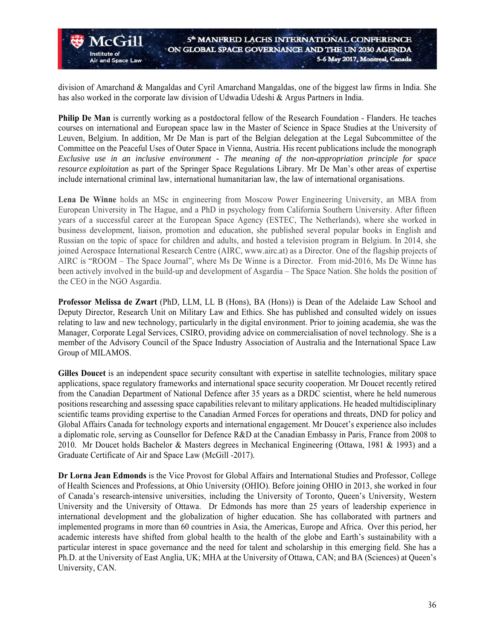division of Amarchand & Mangaldas and Cyril Amarchand Mangaldas, one of the biggest law firms in India. She has also worked in the corporate law division of Udwadia Udeshi & Argus Partners in India.

Institute of

and Space Law

**Philip De Man** is currently working as a postdoctoral fellow of the Research Foundation - Flanders. He teaches courses on international and European space law in the Master of Science in Space Studies at the University of Leuven, Belgium. In addition, Mr De Man is part of the Belgian delegation at the Legal Subcommittee of the Committee on the Peaceful Uses of Outer Space in Vienna, Austria. His recent publications include the monograph *Exclusive use in an inclusive environment - The meaning of the non-appropriation principle for space resource exploitation* as part of the Springer Space Regulations Library. Mr De Man's other areas of expertise include international criminal law, international humanitarian law, the law of international organisations.

**Lena De Winne** holds an MSc in engineering from Moscow Power Engineering University, an MBA from European University in The Hague, and a PhD in psychology from California Southern University. After fifteen years of a successful career at the European Space Agency (ESTEC, The Netherlands), where she worked in business development, liaison, promotion and education, she published several popular books in English and Russian on the topic of space for children and adults, and hosted a television program in Belgium. In 2014, she joined Aerospace International Research Centre (AIRC, www.airc.at) as a Director. One of the flagship projects of AIRC is "ROOM – The Space Journal", where Ms De Winne is a Director. From mid-2016, Ms De Winne has been actively involved in the build-up and development of Asgardia – The Space Nation. She holds the position of the CEO in the NGO Asgardia.

**Professor Melissa de Zwart** (PhD, LLM, LL B (Hons), BA (Hons)) is Dean of the Adelaide Law School and Deputy Director, Research Unit on Military Law and Ethics. She has published and consulted widely on issues relating to law and new technology, particularly in the digital environment. Prior to joining academia, she was the Manager, Corporate Legal Services, CSIRO, providing advice on commercialisation of novel technology. She is a member of the Advisory Council of the Space Industry Association of Australia and the International Space Law Group of MILAMOS.

**Gilles Doucet** is an independent space security consultant with expertise in satellite technologies, military space applications, space regulatory frameworks and international space security cooperation. Mr Doucet recently retired from the Canadian Department of National Defence after 35 years as a DRDC scientist, where he held numerous positions researching and assessing space capabilities relevant to military applications. He headed multidisciplinary scientific teams providing expertise to the Canadian Armed Forces for operations and threats, DND for policy and Global Affairs Canada for technology exports and international engagement. Mr Doucet's experience also includes a diplomatic role, serving as Counsellor for Defence R&D at the Canadian Embassy in Paris, France from 2008 to 2010. Mr Doucet holds Bachelor & Masters degrees in Mechanical Engineering (Ottawa, 1981 & 1993) and a Graduate Certificate of Air and Space Law (McGill -2017).

**Dr Lorna Jean Edmonds** is the Vice Provost for Global Affairs and International Studies and Professor, College of Health Sciences and Professions, at Ohio University (OHIO). Before joining OHIO in 2013, she worked in four of Canada's research-intensive universities, including the University of Toronto, Queen's University, Western University and the University of Ottawa. Dr Edmonds has more than 25 years of leadership experience in international development and the globalization of higher education. She has collaborated with partners and implemented programs in more than 60 countries in Asia, the Americas, Europe and Africa. Over this period, her academic interests have shifted from global health to the health of the globe and Earth's sustainability with a particular interest in space governance and the need for talent and scholarship in this emerging field. She has a Ph.D. at the University of East Anglia, UK; MHA at the University of Ottawa, CAN; and BA (Sciences) at Queen's University, CAN.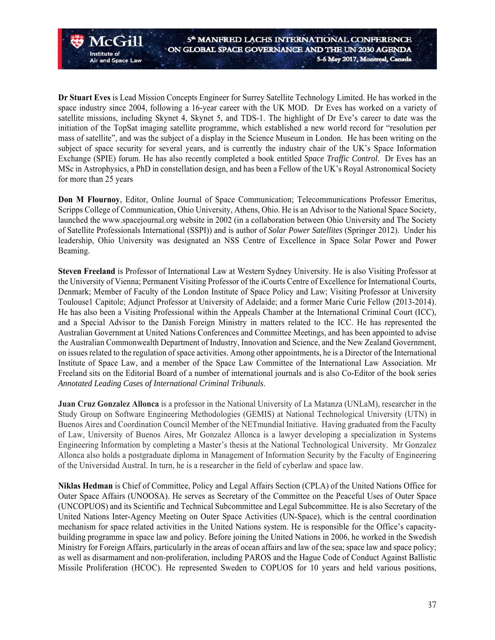**Dr Stuart Eves** is Lead Mission Concepts Engineer for Surrey Satellite Technology Limited. He has worked in the space industry since 2004, following a 16-year career with the UK MOD. Dr Eves has worked on a variety of satellite missions, including Skynet 4, Skynet 5, and TDS-1. The highlight of Dr Eve's career to date was the initiation of the TopSat imaging satellite programme, which established a new world record for "resolution per mass of satellite", and was the subject of a display in the Science Museum in London. He has been writing on the subject of space security for several years, and is currently the industry chair of the UK's Space Information Exchange (SPIE) forum. He has also recently completed a book entitled *Space Traffic Control*. Dr Eves has an MSc in Astrophysics, a PhD in constellation design, and has been a Fellow of the UK's Royal Astronomical Society for more than 25 years

Institute of

and Space Law

**Don M Flournoy**, Editor, Online Journal of Space Communication; Telecommunications Professor Emeritus, Scripps College of Communication, Ohio University, Athens, Ohio. He is an Advisor to the National Space Society, launched the www.spacejournal.org website in 2002 (in a collaboration between Ohio University and The Society of Satellite Professionals International (SSPI)) and is author of *Solar Power Satellites* (Springer 2012). Under his leadership, Ohio University was designated an NSS Centre of Excellence in Space Solar Power and Power Beaming.

**Steven Freeland** is Professor of International Law at Western Sydney University. He is also Visiting Professor at the University of Vienna; Permanent Visiting Professor of the iCourts Centre of Excellence for International Courts, Denmark; Member of Faculty of the London Institute of Space Policy and Law; Visiting Professor at University Toulouse1 Capitole; Adjunct Professor at University of Adelaide; and a former Marie Curie Fellow (2013-2014). He has also been a Visiting Professional within the Appeals Chamber at the International Criminal Court (ICC), and a Special Advisor to the Danish Foreign Ministry in matters related to the ICC. He has represented the Australian Government at United Nations Conferences and Committee Meetings, and has been appointed to advise the Australian Commonwealth Department of Industry, Innovation and Science, and the New Zealand Government, on issues related to the regulation of space activities. Among other appointments, he is a Director of the International Institute of Space Law, and a member of the Space Law Committee of the International Law Association. Mr Freeland sits on the Editorial Board of a number of international journals and is also Co-Editor of the book series *Annotated Leading Cases of International Criminal Tribunals*.

**Juan Cruz Gonzalez Allonca** is a professor in the National University of La Matanza (UNLaM), researcher in the Study Group on Software Engineering Methodologies (GEMIS) at National Technological University (UTN) in Buenos Aires and Coordination Council Member of the NETmundial Initiative. Having graduated from the Faculty of Law, University of Buenos Aires, Mr Gonzalez Allonca is a lawyer developing a specialization in Systems Engineering Information by completing a Master's thesis at the National Technological University. Mr Gonzalez Allonca also holds a postgraduate diploma in Management of Information Security by the Faculty of Engineering of the Universidad Austral. In turn, he is a researcher in the field of cyberlaw and space law.

**Niklas Hedman** is Chief of Committee, Policy and Legal Affairs Section (CPLA) of the United Nations Office for Outer Space Affairs (UNOOSA). He serves as Secretary of the Committee on the Peaceful Uses of Outer Space (UNCOPUOS) and its Scientific and Technical Subcommittee and Legal Subcommittee. He is also Secretary of the United Nations Inter-Agency Meeting on Outer Space Activities (UN-Space), which is the central coordination mechanism for space related activities in the United Nations system. He is responsible for the Office's capacitybuilding programme in space law and policy. Before joining the United Nations in 2006, he worked in the Swedish Ministry for Foreign Affairs, particularly in the areas of ocean affairs and law of the sea; space law and space policy; as well as disarmament and non-proliferation, including PAROS and the Hague Code of Conduct Against Ballistic Missile Proliferation (HCOC). He represented Sweden to COPUOS for 10 years and held various positions,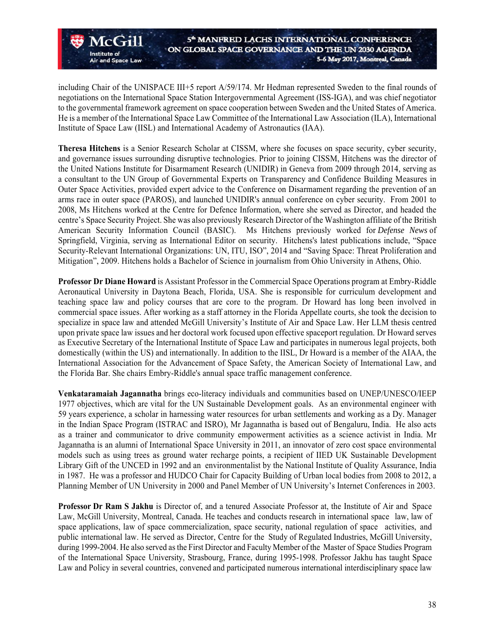including Chair of the UNISPACE III+5 report A/59/174. Mr Hedman represented Sweden to the final rounds of negotiations on the International Space Station Intergovernmental Agreement (ISS-IGA), and was chief negotiator to the governmental framework agreement on space cooperation between Sweden and the United States of America. He is a member of the International Space Law Committee of the International Law Association (ILA), International Institute of Space Law (IISL) and International Academy of Astronautics (IAA).

 $\Lambda$ c $(\pm 1)$ 

and Space Law

**Institute of** 

**Theresa Hitchens** is a Senior Research Scholar at CISSM, where she focuses on space security, cyber security, and governance issues surrounding disruptive technologies. Prior to joining CISSM, Hitchens was the director of the United Nations Institute for Disarmament Research (UNIDIR) in Geneva from 2009 through 2014, serving as a consultant to the UN Group of Governmental Experts on Transparency and Confidence Building Measures in Outer Space Activities, provided expert advice to the Conference on Disarmament regarding the prevention of an arms race in outer space (PAROS), and launched UNIDIR's annual conference on cyber security. From 2001 to 2008, Ms Hitchens worked at the Centre for Defence Information, where she served as Director, and headed the centre's Space Security Project. She was also previously Research Director of the Washington affiliate of the British American Security Information Council (BASIC). Ms Hitchens previously worked for *Defense News* of Springfield, Virginia, serving as International Editor on security. Hitchens's latest publications include, "Space Security-Relevant International Organizations: UN, ITU, ISO", 2014 and "Saving Space: Threat Proliferation and Mitigation", 2009. Hitchens holds a Bachelor of Science in journalism from Ohio University in Athens, Ohio.

**Professor Dr Diane Howard** is Assistant Professor in the Commercial Space Operations program at Embry-Riddle Aeronautical University in Daytona Beach, Florida, USA. She is responsible for curriculum development and teaching space law and policy courses that are core to the program. Dr Howard has long been involved in commercial space issues. After working as a staff attorney in the Florida Appellate courts, she took the decision to specialize in space law and attended McGill University's Institute of Air and Space Law. Her LLM thesis centred upon private space law issues and her doctoral work focused upon effective spaceport regulation. Dr Howard serves as Executive Secretary of the International Institute of Space Law and participates in numerous legal projects, both domestically (within the US) and internationally. In addition to the IISL, Dr Howard is a member of the AIAA, the International Association for the Advancement of Space Safety, the American Society of International Law, and the Florida Bar. She chairs Embry-Riddle's annual space traffic management conference.

**Venkataramaiah Jagannatha** brings eco-literacy individuals and communities based on UNEP/UNESCO/IEEP 1977 objectives, which are vital for the UN Sustainable Development goals. As an environmental engineer with 59 years experience, a scholar in harnessing water resources for urban settlements and working as a Dy. Manager in the Indian Space Program (ISTRAC and ISRO), Mr Jagannatha is based out of Bengaluru, India. He also acts as a trainer and communicator to drive community empowerment activities as a science activist in India. Mr Jagannatha is an alumni of International Space University in 2011, an innovator of zero cost space environmental models such as using trees as ground water recharge points, a recipient of IIED UK Sustainable Development Library Gift of the UNCED in 1992 and an environmentalist by the National Institute of Quality Assurance, India in 1987. He was a professor and HUDCO Chair for Capacity Building of Urban local bodies from 2008 to 2012, a Planning Member of UN University in 2000 and Panel Member of UN University's Internet Conferences in 2003.

**Professor Dr Ram S Jakhu** is Director of, and a tenured Associate Professor at, the Institute of Air and Space Law, McGill University, Montreal, Canada. He teaches and conducts research in international space law, law of space applications, law of space commercialization, space security, national regulation of space activities, and public international law. He served as Director, Centre for the Study of Regulated Industries, McGill University, during 1999-2004. He also served as the First Director and Faculty Member of the Master of Space Studies Program of the International Space University, Strasbourg, France, during 1995-1998. Professor Jakhu has taught Space Law and Policy in several countries, convened and participated numerous international interdisciplinary space law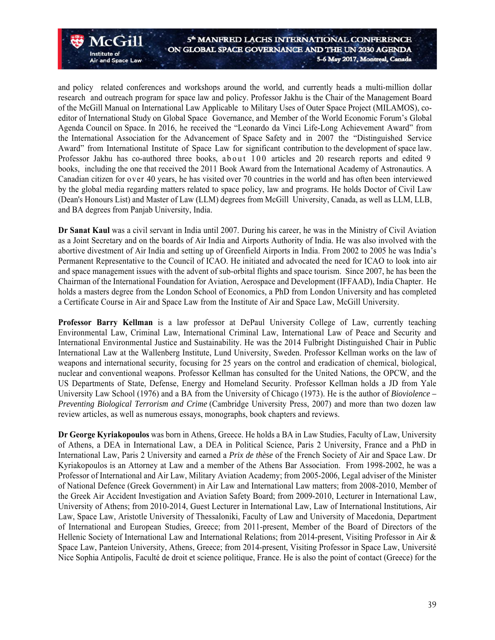and policy related conferences and workshops around the world, and currently heads a multi-million dollar research and outreach program for space law and policy. Professor Jakhu is the Chair of the Management Board of the McGill Manual on International Law Applicable to Military Uses of Outer Space Project (MILAMOS), coeditor of International Study on Global Space Governance, and Member of the World Economic Forum's Global Agenda Council on Space. In 2016, he received the "Leonardo da Vinci Life-Long Achievement Award" from the International Association for the Advancement of Space Safety and in 2007 the "Distinguished Service Award" from International Institute of Space Law for significant contribution to the development of space law. Professor Jakhu has co-authored three books, a b o ut 100 articles and 20 research reports and edited 9 books, including the one that received the 2011 Book Award from the International Academy of Astronautics. A Canadian citizen for over 40 years, he has visited over 70 countries in the world and has often been interviewed by the global media regarding matters related to space policy, law and programs. He holds Doctor of Civil Law (Dean's Honours List) and Master of Law (LLM) degrees from McGill University, Canada, as well as LLM, LLB, and BA degrees from Panjab University, India.

 $ACGill$ 

and Space Law

Institute of

**Dr Sanat Kaul** was a civil servant in India until 2007. During his career, he was in the Ministry of Civil Aviation as a Joint Secretary and on the boards of Air India and Airports Authority of India. He was also involved with the abortive divestment of Air India and setting up of Greenfield Airports in India. From 2002 to 2005 he was India's Permanent Representative to the Council of ICAO. He initiated and advocated the need for ICAO to look into air and space management issues with the advent of sub-orbital flights and space tourism. Since 2007, he has been the Chairman of the International Foundation for Aviation, Aerospace and Development (IFFAAD), India Chapter. He holds a masters degree from the London School of Economics, a PhD from London University and has completed a Certificate Course in Air and Space Law from the Institute of Air and Space Law, McGill University.

**Professor Barry Kellman** is a law professor at DePaul University College of Law, currently teaching Environmental Law, Criminal Law, International Criminal Law, International Law of Peace and Security and International Environmental Justice and Sustainability. He was the 2014 Fulbright Distinguished Chair in Public International Law at the Wallenberg Institute, Lund University, Sweden. Professor Kellman works on the law of weapons and international security, focusing for 25 years on the control and eradication of chemical, biological, nuclear and conventional weapons. Professor Kellman has consulted for the United Nations, the OPCW, and the US Departments of State, Defense, Energy and Homeland Security. Professor Kellman holds a JD from Yale University Law School (1976) and a BA from the University of Chicago (1973). He is the author of *Bioviolence – Preventing Biological Terrorism and Crime* (Cambridge University Press, 2007) and more than two dozen law review articles, as well as numerous essays, monographs, book chapters and reviews.

**Dr George Kyriakopoulos** was born in Athens, Greece. He holds a BA in Law Studies, Faculty of Law, University of Athens, a DEA in International Law, a DEA in Political Science, Paris 2 University, France and a PhD in International Law, Paris 2 University and earned a *Prix de thèse* of the French Society of Air and Space Law. Dr Kyriakopoulos is an Attorney at Law and a member of the Athens Bar Association. From 1998-2002, he was a Professor of International and Air Law, Military Aviation Academy; from 2005-2006, Legal adviser of the Minister of National Defence (Greek Government) in Air Law and International Law matters; from 2008-2010, Member of the Greek Air Accident Investigation and Aviation Safety Board; from 2009-2010, Lecturer in International Law, University of Athens; from 2010-2014, Guest Lecturer in International Law, Law of International Institutions, Air Law, Space Law, Aristotle University of Thessaloniki, Faculty of Law and University of Macedonia, Department of International and European Studies, Greece; from 2011-present, Member of the Board of Directors of the Hellenic Society of International Law and International Relations; from 2014-present, Visiting Professor in Air & Space Law, Panteion University, Athens, Greece; from 2014-present, Visiting Professor in Space Law, Université Nice Sophia Antipolis, Faculté de droit et science politique, France. He is also the point of contact (Greece) for the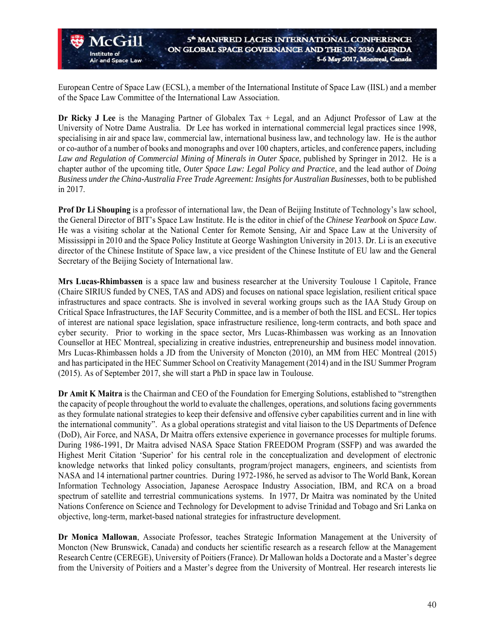European Centre of Space Law (ECSL), a member of the International Institute of Space Law (IISL) and a member of the Space Law Committee of the International Law Association.

Institute of

and Space Law

**Dr Ricky J Lee** is the Managing Partner of Globalex Tax + Legal, and an Adjunct Professor of Law at the University of Notre Dame Australia. Dr Lee has worked in international commercial legal practices since 1998, specialising in air and space law, commercial law, international business law, and technology law. He is the author or co-author of a number of books and monographs and over 100 chapters, articles, and conference papers, including *Law and Regulation of Commercial Mining of Minerals in Outer Space*, published by Springer in 2012. He is a chapter author of the upcoming title, *Outer Space Law: Legal Policy and Practice*, and the lead author of *Doing Business under the China-Australia Free Trade Agreement: Insights for Australian Businesses*, both to be published in 2017.

**Prof Dr Li Shouping** is a professor of international law, the Dean of Beijing Institute of Technology's law school, the General Director of BIT's Space Law Institute. He is the editor in chief of the *Chinese Yearbook on Space Law*. He was a visiting scholar at the National Center for Remote Sensing, Air and Space Law at the University of Mississippi in 2010 and the Space Policy Institute at George Washington University in 2013. Dr. Li is an executive director of the Chinese Institute of Space law, a vice president of the Chinese Institute of EU law and the General Secretary of the Beijing Society of International law.

**Mrs Lucas-Rhimbassen** is a space law and business researcher at the University Toulouse 1 Capitole, France (Chaire SIRIUS funded by CNES, TAS and ADS) and focuses on national space legislation, resilient critical space infrastructures and space contracts. She is involved in several working groups such as the IAA Study Group on Critical Space Infrastructures, the IAF Security Committee, and is a member of both the IISL and ECSL. Her topics of interest are national space legislation, space infrastructure resilience, long-term contracts, and both space and cyber security. Prior to working in the space sector, Mrs Lucas-Rhimbassen was working as an Innovation Counsellor at HEC Montreal, specializing in creative industries, entrepreneurship and business model innovation. Mrs Lucas-Rhimbassen holds a JD from the University of Moncton (2010), an MM from HEC Montreal (2015) and has participated in the HEC Summer School on Creativity Management (2014) and in the ISU Summer Program (2015). As of September 2017, she will start a PhD in space law in Toulouse.

**Dr Amit K Maitra** is the Chairman and CEO of the Foundation for Emerging Solutions, established to "strengthen the capacity of people throughout the world to evaluate the challenges, operations, and solutions facing governments as they formulate national strategies to keep their defensive and offensive cyber capabilities current and in line with the international community". As a global operations strategist and vital liaison to the US Departments of Defence (DoD), Air Force, and NASA, Dr Maitra offers extensive experience in governance processes for multiple forums. During 1986-1991, Dr Maitra advised NASA Space Station FREEDOM Program (SSFP) and was awarded the Highest Merit Citation 'Superior' for his central role in the conceptualization and development of electronic knowledge networks that linked policy consultants, program/project managers, engineers, and scientists from NASA and 14 international partner countries. During 1972-1986, he served as advisor to The World Bank, Korean Information Technology Association, Japanese Aerospace Industry Association, IBM, and RCA on a broad spectrum of satellite and terrestrial communications systems. In 1977, Dr Maitra was nominated by the United Nations Conference on Science and Technology for Development to advise Trinidad and Tobago and Sri Lanka on objective, long-term, market-based national strategies for infrastructure development.

**Dr Monica Mallowan**, Associate Professor, teaches Strategic Information Management at the University of Moncton (New Brunswick, Canada) and conducts her scientific research as a research fellow at the Management Research Centre (CEREGE), University of Poitiers (France). Dr Mallowan holds a Doctorate and a Master's degree from the University of Poitiers and a Master's degree from the University of Montreal. Her research interests lie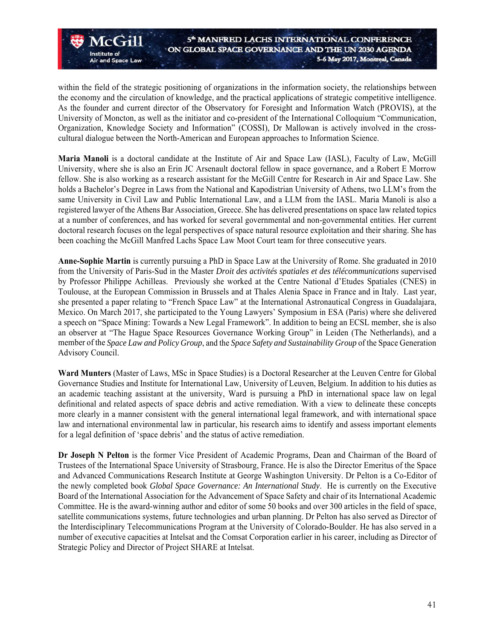within the field of the strategic positioning of organizations in the information society, the relationships between the economy and the circulation of knowledge, and the practical applications of strategic competitive intelligence. As the founder and current director of the Observatory for Foresight and Information Watch (PROVIS), at the University of Moncton, as well as the initiator and co-president of the International Colloquium "Communication, Organization, Knowledge Society and Information" (COSSI), Dr Mallowan is actively involved in the crosscultural dialogue between the North-American and European approaches to Information Science.

Institute of

and Space Law

**Maria Manoli** is a doctoral candidate at the Institute of Air and Space Law (IASL), Faculty of Law, McGill University, where she is also an Erin JC Arsenault doctoral fellow in space governance, and a Robert E Morrow fellow. She is also working as a research assistant for the McGill Centre for Research in Air and Space Law. She holds a Bachelor's Degree in Laws from the National and Kapodistrian University of Athens, two LLM's from the same University in Civil Law and Public International Law, and a LLM from the IASL. Maria Manoli is also a registered lawyer of the Athens Bar Association, Greece. She has delivered presentations on space law related topics at a number of conferences, and has worked for several governmental and non-governmental entities. Her current doctoral research focuses on the legal perspectives of space natural resource exploitation and their sharing. She has been coaching the McGill Manfred Lachs Space Law Moot Court team for three consecutive years.

**Anne-Sophie Martin** is currently pursuing a PhD in Space Law at the University of Rome. She graduated in 2010 from the University of Paris-Sud in the Master *Droit des activités spatiales et des télécommunications* supervised by Professor Philippe Achilleas. Previously she worked at the Centre National d'Etudes Spatiales (CNES) in Toulouse, at the European Commission in Brussels and at Thales Alenia Space in France and in Italy. Last year, she presented a paper relating to "French Space Law" at the International Astronautical Congress in Guadalajara, Mexico. On March 2017, she participated to the Young Lawyers' Symposium in ESA (Paris) where she delivered a speech on "Space Mining: Towards a New Legal Framework". In addition to being an ECSL member, she is also an observer at "The Hague Space Resources Governance Working Group" in Leiden (The Netherlands), and a member of the *Space Law and Policy Group*, and the *Space Safety and Sustainability Group* of the Space Generation Advisory Council.

**Ward Munters** (Master of Laws, MSc in Space Studies) is a Doctoral Researcher at the Leuven Centre for Global Governance Studies and Institute for International Law, University of Leuven, Belgium. In addition to his duties as an academic teaching assistant at the university, Ward is pursuing a PhD in international space law on legal definitional and related aspects of space debris and active remediation. With a view to delineate these concepts more clearly in a manner consistent with the general international legal framework, and with international space law and international environmental law in particular, his research aims to identify and assess important elements for a legal definition of 'space debris' and the status of active remediation.

**Dr Joseph N Pelton** is the former Vice President of Academic Programs, Dean and Chairman of the Board of Trustees of the International Space University of Strasbourg, France. He is also the Director Emeritus of the Space and Advanced Communications Research Institute at George Washington University. Dr Pelton is a Co-Editor of the newly completed book *Global Space Governance: An International Study*. He is currently on the Executive Board of the International Association for the Advancement of Space Safety and chair of its International Academic Committee. He is the award-winning author and editor of some 50 books and over 300 articles in the field of space, satellite communications systems, future technologies and urban planning. Dr Pelton has also served as Director of the Interdisciplinary Telecommunications Program at the University of Colorado-Boulder. He has also served in a number of executive capacities at Intelsat and the Comsat Corporation earlier in his career, including as Director of Strategic Policy and Director of Project SHARE at Intelsat.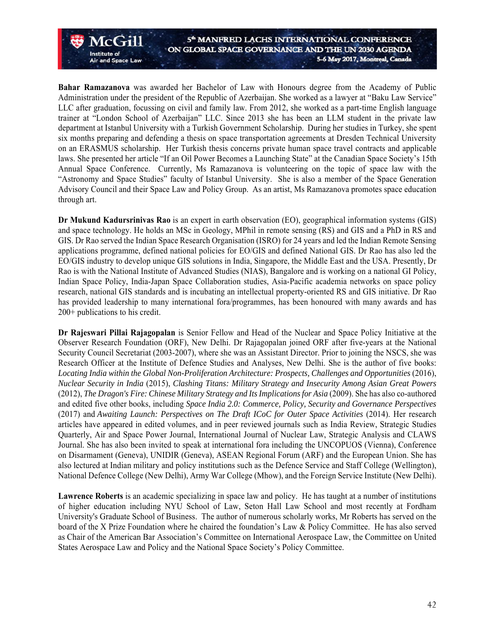**Bahar Ramazanova** was awarded her Bachelor of Law with Honours degree from the Academy of Public Administration under the president of the Republic of Azerbaijan. She worked as a lawyer at "Baku Law Service" LLC after graduation, focussing on civil and family law. From 2012, she worked as a part-time English language trainer at "London School of Azerbaijan" LLC. Since 2013 she has been an LLM student in the private law department at Istanbul University with a Turkish Government Scholarship. During her studies in Turkey, she spent six months preparing and defending a thesis on space transportation agreements at Dresden Technical University on an ERASMUS scholarship. Her Turkish thesis concerns private human space travel contracts and applicable laws. She presented her article "If an Oil Power Becomes a Launching State" at the Canadian Space Society's 15th Annual Space Conference. Currently, Ms Ramazanova is volunteering on the topic of space law with the "Astronomy and Space Studies" faculty of Istanbul University. She is also a member of the Space Generation Advisory Council and their Space Law and Policy Group. As an artist, Ms Ramazanova promotes space education through art.

Institute of

and Space Law

**Dr Mukund Kadursrinivas Rao** is an expert in earth observation (EO), geographical information systems (GIS) and space technology. He holds an MSc in Geology, MPhil in remote sensing (RS) and GIS and a PhD in RS and GIS. Dr Rao served the Indian Space Research Organisation (ISRO) for 24 years and led the Indian Remote Sensing applications programme, defined national policies for EO/GIS and defined National GIS. Dr Rao has also led the EO/GIS industry to develop unique GIS solutions in India, Singapore, the Middle East and the USA. Presently, Dr Rao is with the National Institute of Advanced Studies (NIAS), Bangalore and is working on a national GI Policy, Indian Space Policy, India-Japan Space Collaboration studies, Asia-Pacific academia networks on space policy research, national GIS standards and is incubating an intellectual property-oriented RS and GIS initiative. Dr Rao has provided leadership to many international fora/programmes, has been honoured with many awards and has 200+ publications to his credit.

**Dr Rajeswari Pillai Rajagopalan** is Senior Fellow and Head of the Nuclear and Space Policy Initiative at the Observer Research Foundation (ORF), New Delhi. Dr Rajagopalan joined ORF after five-years at the National Security Council Secretariat (2003-2007), where she was an Assistant Director. Prior to joining the NSCS, she was Research Officer at the Institute of Defence Studies and Analyses, New Delhi. She is the author of five books: *Locating India within the Global Non-Proliferation Architecture: Prospects, Challenges and Opportunities* (2016), *Nuclear Security in India* (2015), *Clashing Titans: Military Strategy and Insecurity Among Asian Great Powers*  (2012), *The Dragon's Fire: Chinese Military Strategy and Its Implications for Asia* (2009). She has also co-authored and edited five other books, including *Space India 2.0: Commerce, Policy, Security and Governance Perspectives* (2017) and *Awaiting Launch: Perspectives on The Draft ICoC for Outer Space Activities* (2014). Her research articles have appeared in edited volumes, and in peer reviewed journals such as India Review, Strategic Studies Quarterly, Air and Space Power Journal, International Journal of Nuclear Law, Strategic Analysis and CLAWS Journal. She has also been invited to speak at international fora including the UNCOPUOS (Vienna), Conference on Disarmament (Geneva), UNIDIR (Geneva), ASEAN Regional Forum (ARF) and the European Union. She has also lectured at Indian military and policy institutions such as the Defence Service and Staff College (Wellington), National Defence College (New Delhi), Army War College (Mhow), and the Foreign Service Institute (New Delhi).

**Lawrence Roberts** is an academic specializing in space law and policy. He has taught at a number of institutions of higher education including NYU School of Law, Seton Hall Law School and most recently at Fordham University's Graduate School of Business. The author of numerous scholarly works, Mr Roberts has served on the board of the X Prize Foundation where he chaired the foundation's Law & Policy Committee. He has also served as Chair of the American Bar Association's Committee on International Aerospace Law, the Committee on United States Aerospace Law and Policy and the National Space Society's Policy Committee.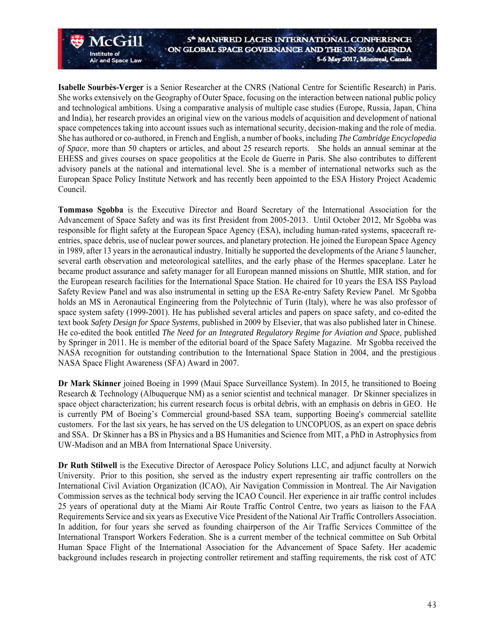**Isabelle Sourbès-Verger** is a Senior Researcher at the CNRS (National Centre for Scientific Research) in Paris. She works extensively on the Geography of Outer Space, focusing on the interaction between national public policy and technological ambitions. Using a comparative analysis of multiple case studies (Europe, Russia, Japan, China and India), her research provides an original view on the various models of acquisition and development of national space competences taking into account issues such as international security, decision-making and the role of media. She has authored or co-authored, in French and English, a number of books, including *The Cambridge Encyclopedia of Space*, more than 50 chapters or articles, and about 25 research reports. She holds an annual seminar at the EHESS and gives courses on space geopolitics at the Ecole de Guerre in Paris. She also contributes to different advisory panels at the national and international level. She is a member of international networks such as the European Space Policy Institute Network and has recently been appointed to the ESA History Project Academic Council.

 $Acc$   $\ddot{\phantom{1}}$ 

and Space Law

Institute of

**Tommaso Sgobba** is the Executive Director and Board Secretary of the International Association for the Advancement of Space Safety and was its first President from 2005-2013. Until October 2012, Mr Sgobba was responsible for flight safety at the European Space Agency (ESA), including human-rated systems, spacecraft reentries, space debris, use of nuclear power sources, and planetary protection. He joined the European Space Agency in 1989, after 13 years in the aeronautical industry. Initially he supported the developments of the Ariane 5 launcher, several earth observation and meteorological satellites, and the early phase of the Hermes spaceplane. Later he became product assurance and safety manager for all European manned missions on Shuttle, MIR station, and for the European research facilities for the International Space Station. He chaired for 10 years the ESA ISS Payload Safety Review Panel and was also instrumental in setting up the ESA Re-entry Safety Review Panel. Mr Sgobba holds an MS in Aeronautical Engineering from the Polytechnic of Turin (Italy), where he was also professor of space system safety (1999-2001). He has published several articles and papers on space safety, and co-edited the text book *Safety Design for Space Systems*, published in 2009 by Elsevier, that was also published later in Chinese. He co-edited the book entitled *The Need for an Integrated Regulatory Regime for Aviation and Space*, published by Springer in 2011. He is member of the editorial board of the Space Safety Magazine. Mr Sgobba received the NASA recognition for outstanding contribution to the International Space Station in 2004, and the prestigious NASA Space Flight Awareness (SFA) Award in 2007.

**Dr Mark Skinner** joined Boeing in 1999 (Maui Space Surveillance System). In 2015, he transitioned to Boeing Research & Technology (Albuquerque NM) as a senior scientist and technical manager. Dr Skinner specializes in space object characterization; his current research focus is orbital debris, with an emphasis on debris in GEO. He is currently PM of Boeing's Commercial ground-based SSA team, supporting Boeing's commercial satellite customers. For the last six years, he has served on the US delegation to UNCOPUOS, as an expert on space debris and SSA. Dr Skinner has a BS in Physics and a BS Humanities and Science from MIT, a PhD in Astrophysics from UW-Madison and an MBA from International Space University.

**Dr Ruth Stilwell** is the Executive Director of Aerospace Policy Solutions LLC, and adjunct faculty at Norwich University. Prior to this position, she served as the industry expert representing air traffic controllers on the International Civil Aviation Organization (ICAO), Air Navigation Commission in Montreal. The Air Navigation Commission serves as the technical body serving the ICAO Council. Her experience in air traffic control includes 25 years of operational duty at the Miami Air Route Traffic Control Centre, two years as liaison to the FAA Requirements Service and six years as Executive Vice President of the National Air Traffic Controllers Association. In addition, for four years she served as founding chairperson of the Air Traffic Services Committee of the International Transport Workers Federation. She is a current member of the technical committee on Sub Orbital Human Space Flight of the International Association for the Advancement of Space Safety. Her academic background includes research in projecting controller retirement and staffing requirements, the risk cost of ATC